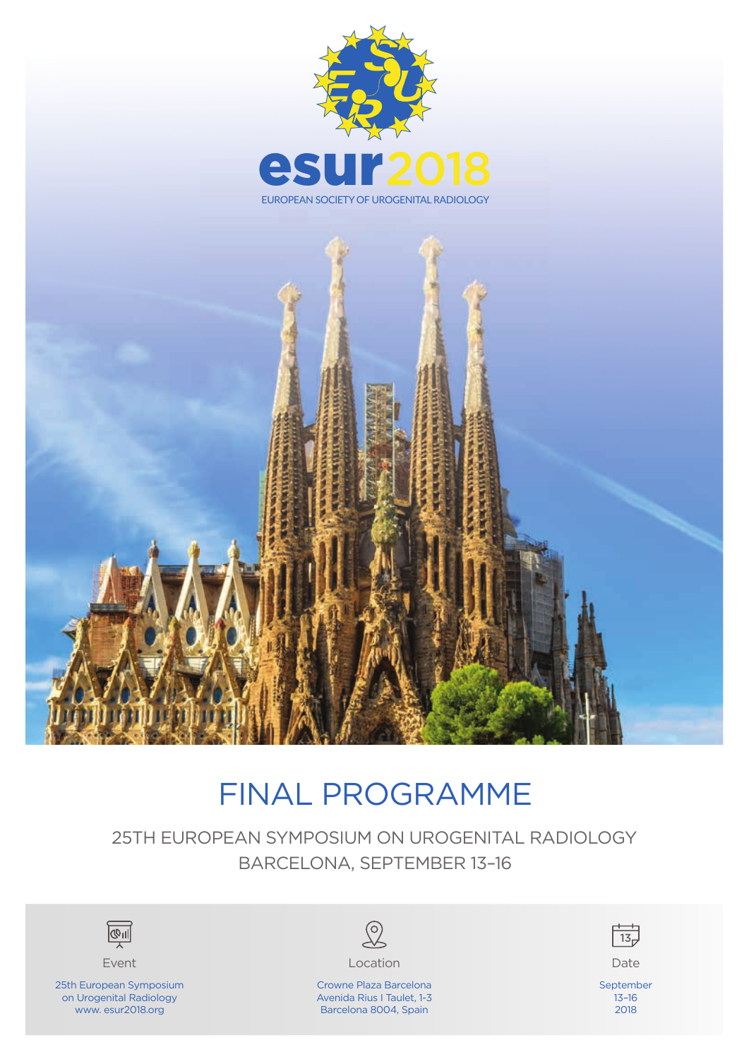



# FINAL PROGRAMME

25TH EUROPEAN SYMPOSIUM ON UROGENITAL RADIOLOGY BARCELONA, SEPTEMBER 13–16





25th European Symposium on Urogenital Radiology www. esur2018.org



Event Date Controller Controller Controller Controller Controller Controller Controller Controller Controller

Crowne Plaza Barcelona Avenida Rius I Taulet, 1-3 Barcelona 8004, Spain



September 13–16 2018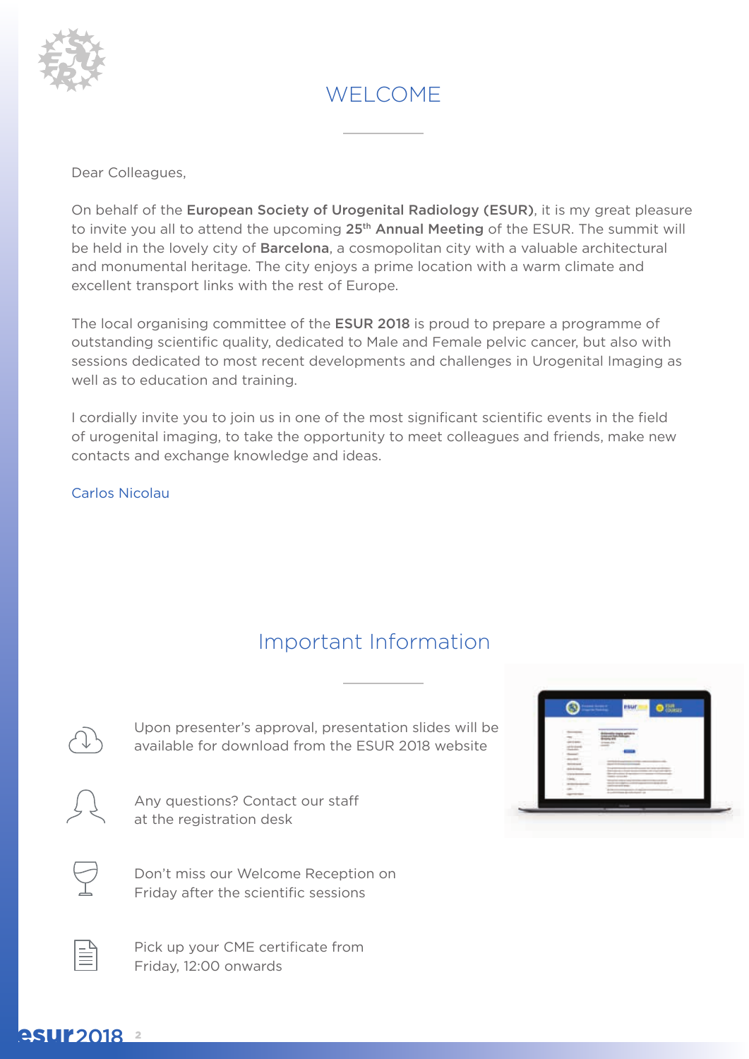

## WELCOME

Dear Colleagues,

On behalf of the European Society of Urogenital Radiology (ESUR), it is my great pleasure to invite you all to attend the upcoming  $25<sup>th</sup>$  Annual Meeting of the ESUR. The summit will be held in the lovely city of **Barcelona**, a cosmopolitan city with a valuable architectural and monumental heritage. The city enjoys a prime location with a warm climate and excellent transport links with the rest of Europe.

The local organising committee of the **ESUR 2018** is proud to prepare a programme of outstanding scientific quality, dedicated to Male and Female pelvic cancer, but also with sessions dedicated to most recent developments and challenges in Urogenital Imaging as well as to education and training.

I cordially invite you to join us in one of the most significant scientific events in the field of urogenital imaging, to take the opportunity to meet colleagues and friends, make new contacts and exchange knowledge and ideas.

Carlos Nicolau

## Important Information

Upon presenter's approval, presentation slides will be available for download from the ESUR 2018 website



Any questions? Contact our staff at the registration desk

Don't miss our Welcome Reception on Friday after the scientific sessions

Pick up your CME certificate from Friday, 12:00 onwards



### **esur**2018 2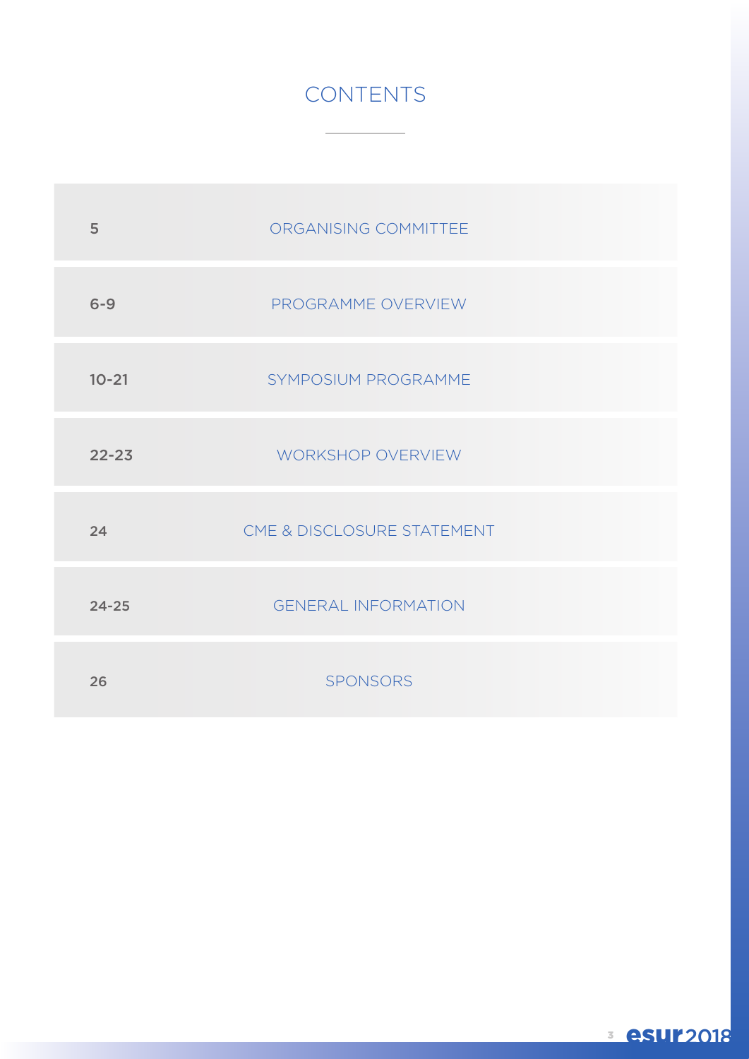## **CONTENTS**

| 5         | ORGANISING COMMITTEE       |
|-----------|----------------------------|
| $6 - 9$   | PROGRAMME OVERVIEW         |
| $10 - 21$ | SYMPOSIUM PROGRAMME        |
| $22 - 23$ | WORKSHOP OVERVIEW          |
| 24        | CME & DISCLOSURE STATEMENT |
| $24 - 25$ | <b>GENERAL INFORMATION</b> |
| 26        | SPONSORS                   |

<sup>3</sup> esur2018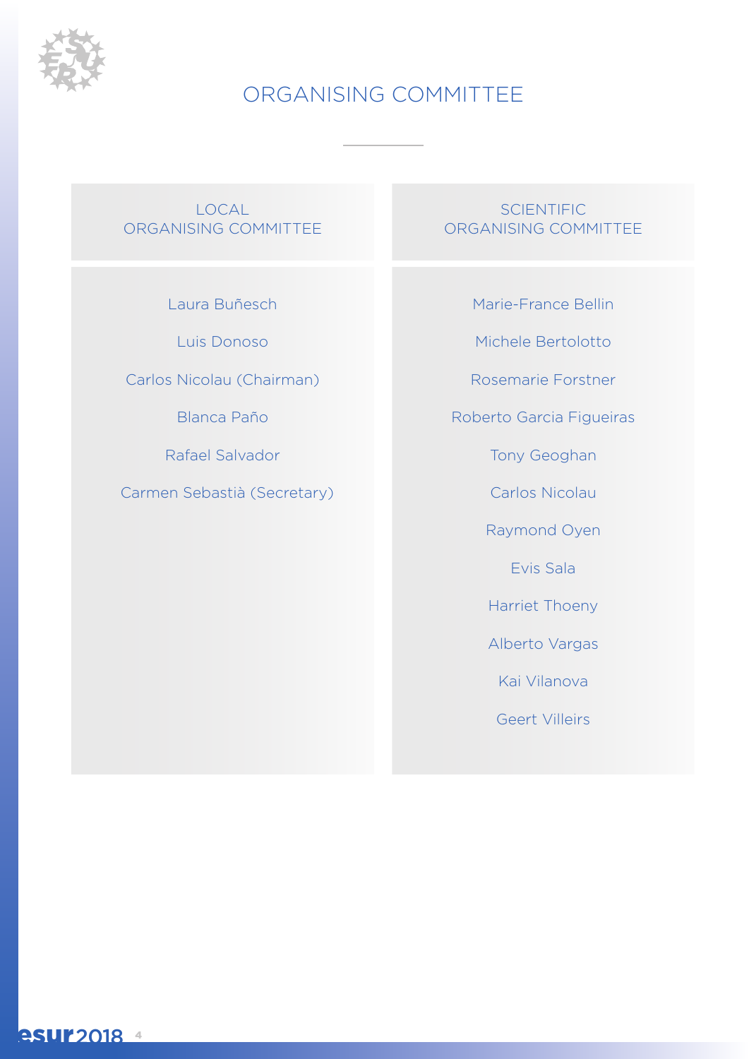

## ORGANISING COMMITTEE

LOCAL ORGANISING COMMITTEE

Laura Buñesch

Luis Donoso

Carlos Nicolau (Chairman)

Blanca Paño

Rafael Salvador

Carmen Sebastià (Secretary)

**SCIENTIFIC** ORGANISING COMMITTEE

Marie-France Bellin

Michele Bertolotto

Rosemarie Forstner

Roberto Garcia Figueiras

Tony Geoghan

Carlos Nicolau

Raymond Oyen

Evis Sala

Harriet Thoeny

Alberto Vargas

Kai Vilanova

Geert Villeirs

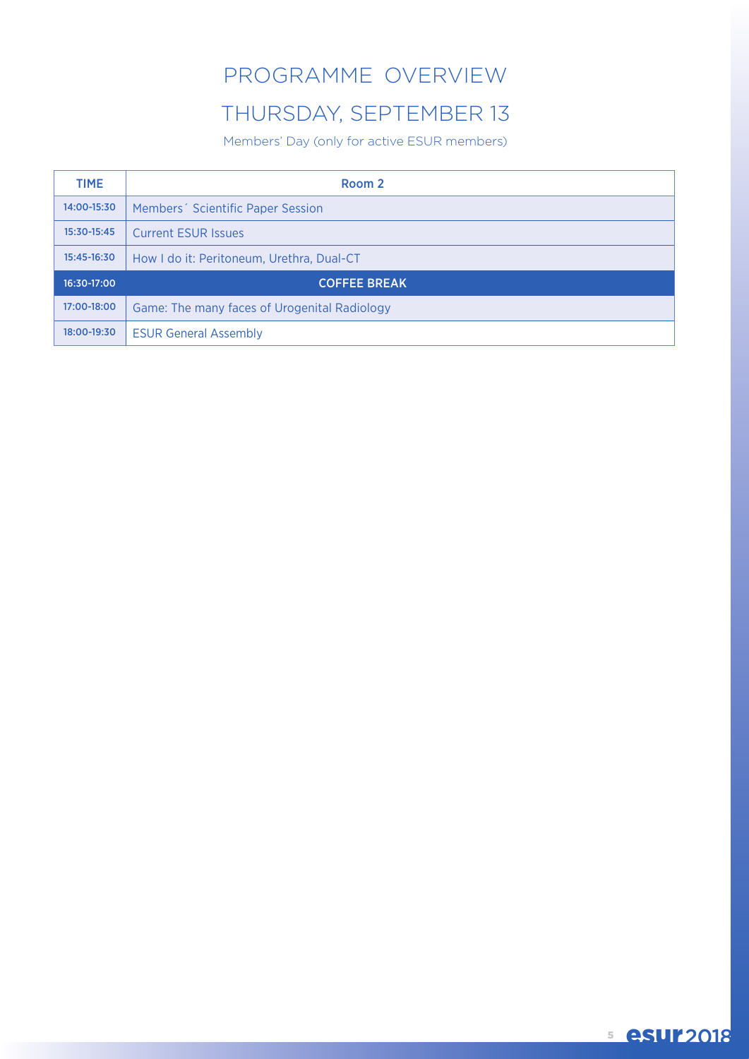## PROGRAMME OVERVIEW

## THURSDAY, SEPTEMBER 13

Members' Day (only for active ESUR members)

| <b>TIME</b> | Room 2                                        |
|-------------|-----------------------------------------------|
| 14:00-15:30 | Members <sup>2</sup> Scientific Paper Session |
| 15:30-15:45 | <b>Current ESUR Issues</b>                    |
| 15:45-16:30 | How I do it: Peritoneum, Urethra, Dual-CT     |
| 16:30-17:00 | <b>COFFEE BREAK</b>                           |
| 17:00-18:00 | Game: The many faces of Urogenital Radiology  |
| 18:00-19:30 | <b>ESUR General Assembly</b>                  |

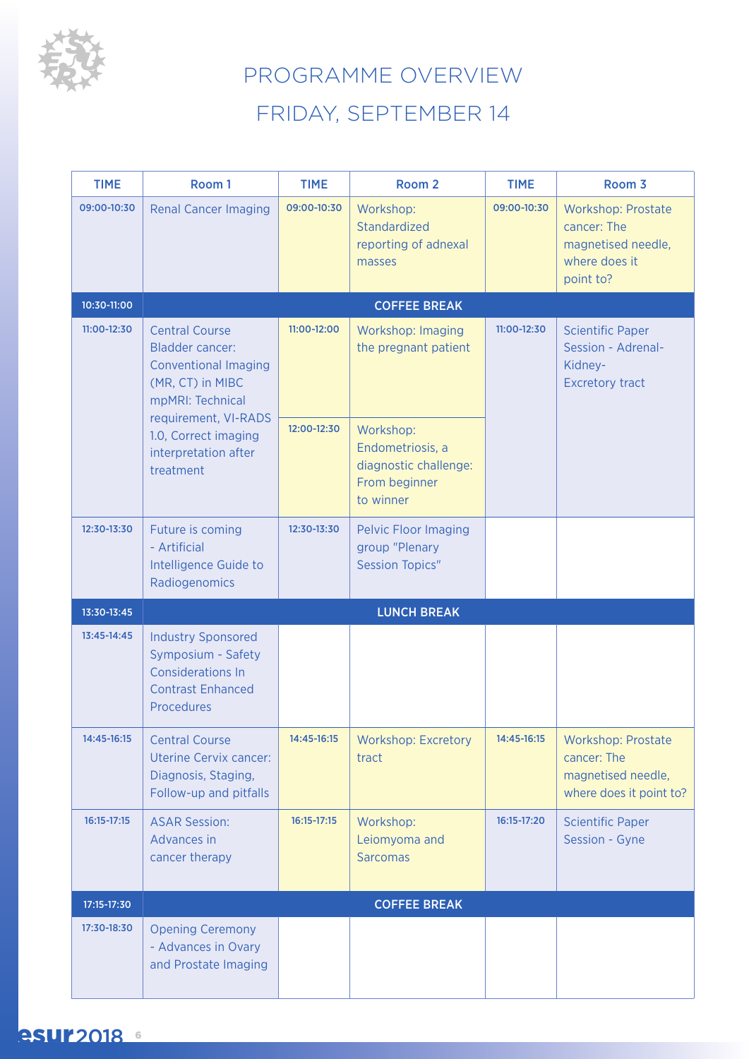

# PROGRAMME OVERVIEW FRIDAY, SEPTEMBER 14

| <b>TIME</b> | Room 1                                                                                                                 | <b>TIME</b> | Room <sub>2</sub>                                                                    | <b>TIME</b> | Room 3                                                                                       |
|-------------|------------------------------------------------------------------------------------------------------------------------|-------------|--------------------------------------------------------------------------------------|-------------|----------------------------------------------------------------------------------------------|
| 09:00-10:30 | <b>Renal Cancer Imaging</b>                                                                                            | 09:00-10:30 | Workshop:<br>Standardized<br>reporting of adnexal<br>masses                          | 09:00-10:30 | <b>Workshop: Prostate</b><br>cancer: The<br>magnetised needle,<br>where does it<br>point to? |
| 10:30-11:00 |                                                                                                                        |             | <b>COFFEE BREAK</b>                                                                  |             |                                                                                              |
| 11:00-12:30 | <b>Central Course</b><br><b>Bladder cancer:</b><br><b>Conventional Imaging</b><br>(MR, CT) in MIBC<br>mpMRI: Technical | 11:00-12:00 | Workshop: Imaging<br>the pregnant patient                                            | 11:00-12:30 | <b>Scientific Paper</b><br>Session - Adrenal-<br>Kidney-<br><b>Excretory tract</b>           |
|             | requirement, VI-RADS<br>1.0, Correct imaging<br>interpretation after<br>treatment                                      | 12:00-12:30 | Workshop:<br>Endometriosis, a<br>diagnostic challenge:<br>From beginner<br>to winner |             |                                                                                              |
| 12:30-13:30 | Future is coming<br>- Artificial<br>Intelligence Guide to<br>Radiogenomics                                             | 12:30-13:30 | <b>Pelvic Floor Imaging</b><br>group "Plenary<br><b>Session Topics"</b>              |             |                                                                                              |
| 13:30-13:45 |                                                                                                                        |             | <b>LUNCH BREAK</b>                                                                   |             |                                                                                              |
| 13:45-14:45 | <b>Industry Sponsored</b><br>Symposium - Safety<br><b>Considerations In</b><br><b>Contrast Enhanced</b><br>Procedures  |             |                                                                                      |             |                                                                                              |
| 14:45-16:15 | <b>Central Course</b><br><b>Uterine Cervix cancer:</b><br>Diagnosis, Staging,<br>Follow-up and pitfalls                | 14:45-16:15 | <b>Workshop: Excretory</b><br>tract                                                  | 14:45-16:15 | <b>Workshop: Prostate</b><br>cancer: The<br>magnetised needle,<br>where does it point to?    |
| 16:15-17:15 | <b>ASAR Session:</b><br>Advances in<br>cancer therapy                                                                  | 16:15-17:15 | Workshop:<br>Leiomyoma and<br><b>Sarcomas</b>                                        | 16:15-17:20 | <b>Scientific Paper</b><br>Session - Gyne                                                    |
| 17:15-17:30 |                                                                                                                        |             | <b>COFFEE BREAK</b>                                                                  |             |                                                                                              |
| 17:30-18:30 | <b>Opening Ceremony</b><br>- Advances in Ovary<br>and Prostate Imaging                                                 |             |                                                                                      |             |                                                                                              |

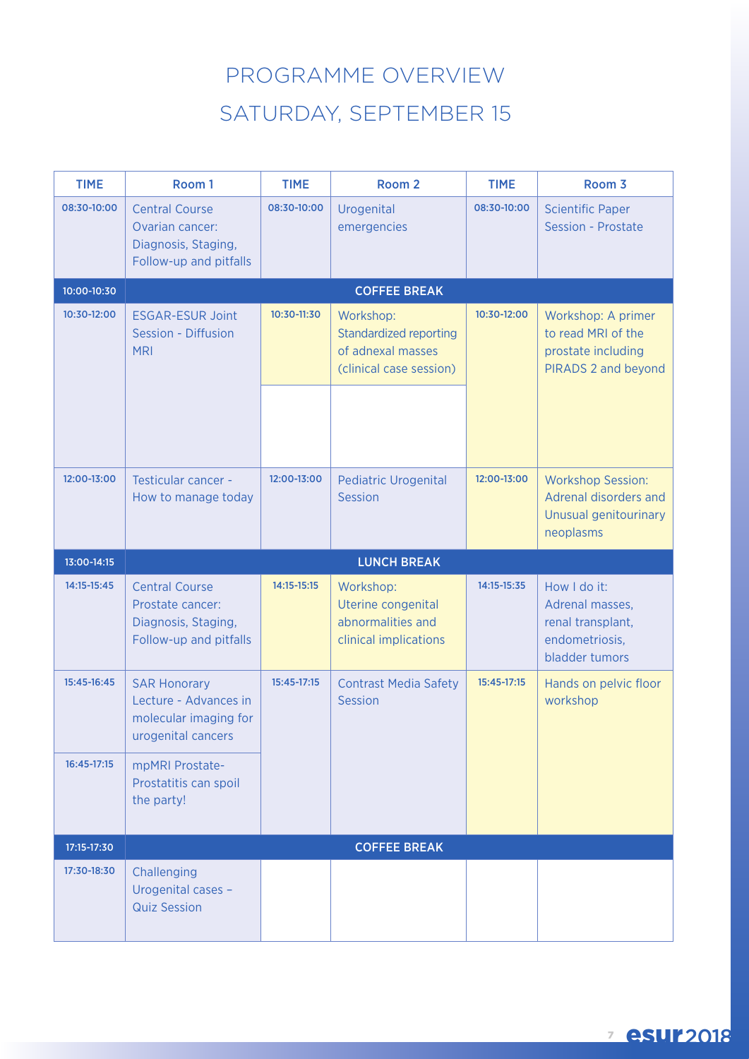# PROGRAMME OVERVIEW SATURDAY, SEPTEMBER 15

| <b>TIME</b> | Room 1                                                                                      | <b>TIME</b> | Room <sub>2</sub>                                                                   | <b>TIME</b> | Room 3                                                                                  |
|-------------|---------------------------------------------------------------------------------------------|-------------|-------------------------------------------------------------------------------------|-------------|-----------------------------------------------------------------------------------------|
| 08:30-10:00 | <b>Central Course</b><br>Ovarian cancer:<br>Diagnosis, Staging,<br>Follow-up and pitfalls   | 08:30-10:00 | Urogenital<br>emergencies                                                           | 08:30-10:00 | <b>Scientific Paper</b><br>Session - Prostate                                           |
| 10:00-10:30 |                                                                                             |             | <b>COFFEE BREAK</b>                                                                 |             |                                                                                         |
| 10:30-12:00 | <b>ESGAR-ESUR Joint</b><br>Session - Diffusion<br><b>MRI</b>                                | 10:30-11:30 | Workshop:<br>Standardized reporting<br>of adnexal masses<br>(clinical case session) | 10:30-12:00 | Workshop: A primer<br>to read MRI of the<br>prostate including<br>PIRADS 2 and beyond   |
|             |                                                                                             |             |                                                                                     |             |                                                                                         |
| 12:00-13:00 | Testicular cancer -<br>How to manage today                                                  | 12:00-13:00 | <b>Pediatric Urogenital</b><br><b>Session</b>                                       | 12:00-13:00 | <b>Workshop Session:</b><br>Adrenal disorders and<br>Unusual genitourinary<br>neoplasms |
| 13:00-14:15 |                                                                                             |             | <b>LUNCH BREAK</b>                                                                  |             |                                                                                         |
| 14:15-15:45 | <b>Central Course</b><br>Prostate cancer:                                                   | 14:15-15:15 | Workshop:<br>Uterine congenital                                                     | 14:15-15:35 | How I do it:<br>Adrenal masses,                                                         |
|             | Diagnosis, Staging,<br>Follow-up and pitfalls                                               |             | abnormalities and<br>clinical implications                                          |             | renal transplant,<br>endometriosis,<br>bladder tumors                                   |
| 15:45-16:45 | <b>SAR Honorary</b><br>Lecture - Advances in<br>molecular imaging for<br>urogenital cancers | 15:45-17:15 | <b>Contrast Media Safety</b><br>Session                                             | 15:45-17:15 | Hands on pelvic floor<br>workshop                                                       |
| 16:45-17:15 | mpMRI Prostate-<br>Prostatitis can spoil<br>the party!                                      |             |                                                                                     |             |                                                                                         |
| 17:15-17:30 |                                                                                             |             | <b>COFFEE BREAK</b>                                                                 |             |                                                                                         |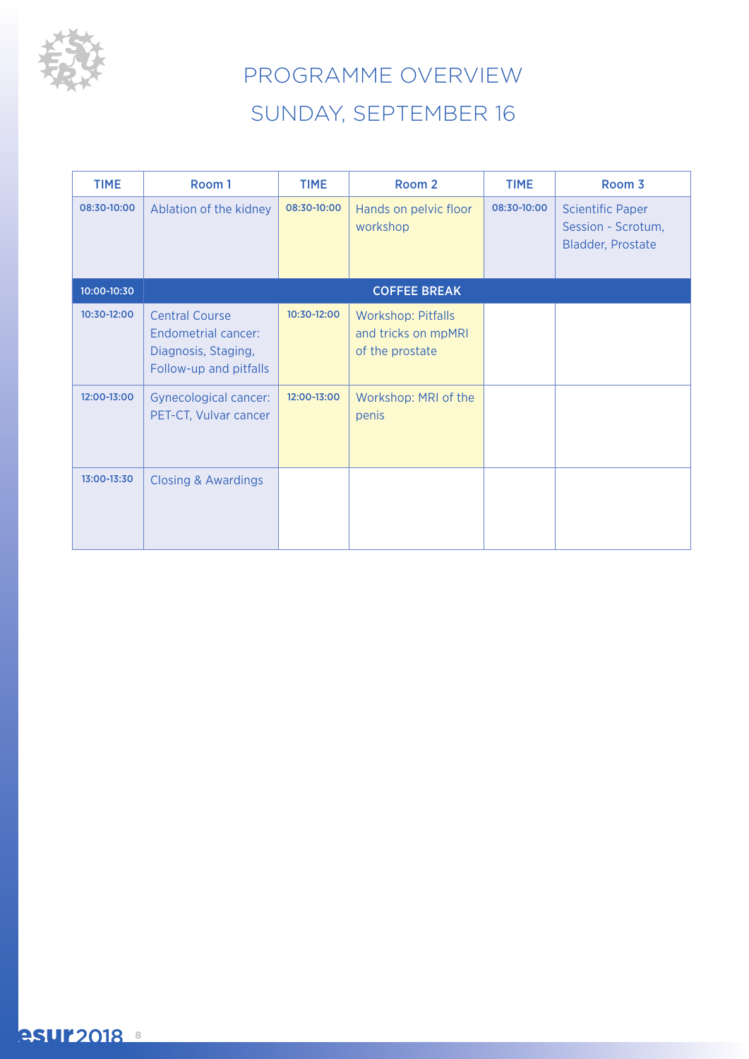

# PROGRAMME OVERVIEW SUNDAY, SEPTEMBER 16

| <b>TIME</b> | Room 1                                                                                        | <b>TIME</b> | Room 2                                                              | <b>TIME</b> | Room 3                                                                    |
|-------------|-----------------------------------------------------------------------------------------------|-------------|---------------------------------------------------------------------|-------------|---------------------------------------------------------------------------|
| 08:30-10:00 | Ablation of the kidney                                                                        | 08:30-10:00 | Hands on pelvic floor<br>workshop                                   | 08:30-10:00 | <b>Scientific Paper</b><br>Session - Scrotum,<br><b>Bladder, Prostate</b> |
| 10:00-10:30 |                                                                                               |             | <b>COFFEE BREAK</b>                                                 |             |                                                                           |
| 10:30-12:00 | <b>Central Course</b><br>Endometrial cancer:<br>Diagnosis, Staging,<br>Follow-up and pitfalls | 10:30-12:00 | <b>Workshop: Pitfalls</b><br>and tricks on mpMRI<br>of the prostate |             |                                                                           |
| 12:00-13:00 | <b>Gynecological cancer:</b><br>PET-CT, Vulvar cancer                                         | 12:00-13:00 | Workshop: MRI of the<br>penis                                       |             |                                                                           |
| 13:00-13:30 | <b>Closing &amp; Awardings</b>                                                                |             |                                                                     |             |                                                                           |

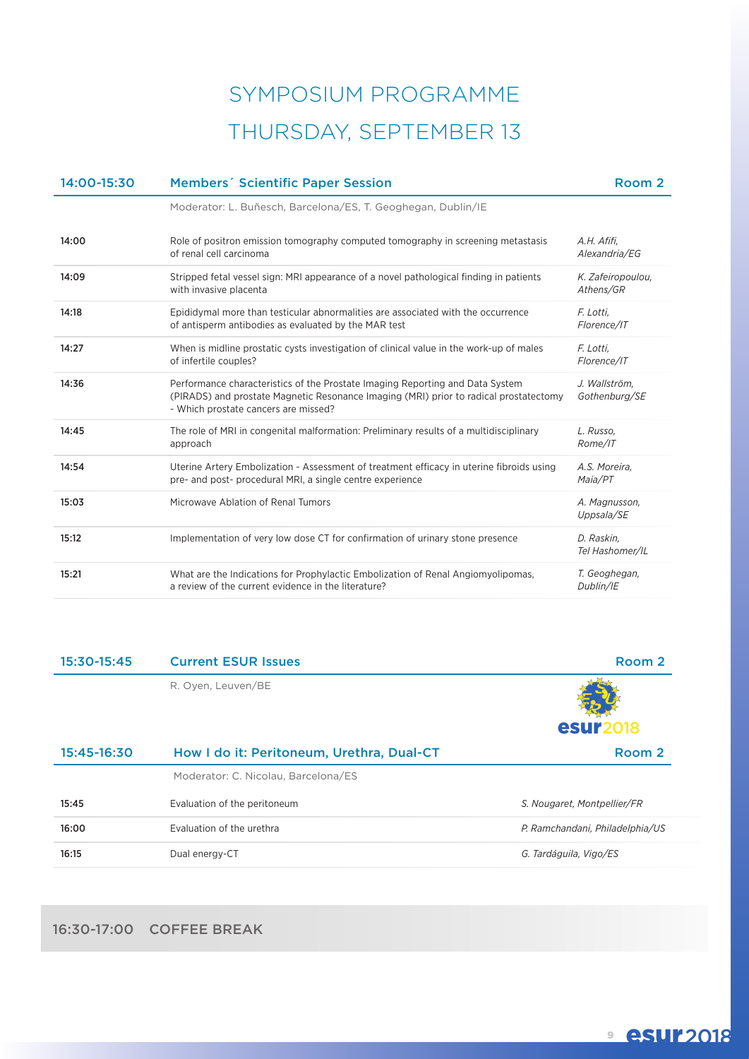# SYMPOSIUM PROGRAMME THURSDAY, SEPTEMBER 13

| 14:00-15:30 | <b>Members' Scientific Paper Session</b>                                                                                                                                                                       | Room <sub>2</sub>              |
|-------------|----------------------------------------------------------------------------------------------------------------------------------------------------------------------------------------------------------------|--------------------------------|
|             | Moderator: L. Buñesch, Barcelona/ES, T. Geoghegan, Dublin/IE                                                                                                                                                   |                                |
| 14:00       | Role of positron emission tomography computed tomography in screening metastasis<br>of renal cell carcinoma                                                                                                    | A.H. Afifi,<br>Alexandria/EG   |
| 14:09       | Stripped fetal vessel sign: MRI appearance of a novel pathological finding in patients<br>with invasive placenta                                                                                               | K. Zafeiropoulou,<br>Athens/GR |
| 14:18       | Epididymal more than testicular abnormalities are associated with the occurrence<br>of antisperm antibodies as evaluated by the MAR test                                                                       | F. Lotti,<br>Florence/IT       |
| 14:27       | When is midline prostatic cysts investigation of clinical value in the work-up of males<br>of infertile couples?                                                                                               | F. Lotti,<br>Florence/IT       |
| 14:36       | Performance characteristics of the Prostate Imaging Reporting and Data System<br>(PIRADS) and prostate Magnetic Resonance Imaging (MRI) prior to radical prostatectomy<br>- Which prostate cancers are missed? | J. Wallström,<br>Gothenburg/SE |
| 14:45       | The role of MRI in congenital malformation: Preliminary results of a multidisciplinary<br>approach                                                                                                             | L. Russo.<br>Rome/IT           |
| 14:54       | Uterine Artery Embolization - Assessment of treatment efficacy in uterine fibroids using<br>pre- and post- procedural MRI, a single centre experience                                                          | A.S. Moreira,<br>Maia/PT       |
| 15:03       | Microwave Ablation of Renal Tumors                                                                                                                                                                             | A. Magnusson,<br>Uppsala/SE    |
| 15:12       | Implementation of very low dose CT for confirmation of urinary stone presence                                                                                                                                  | D. Raskin,<br>Tel Hashomer/IL  |
| 15:21       | What are the Indications for Prophylactic Embolization of Renal Angiomyolipomas,<br>a review of the current evidence in the literature?                                                                        | T. Geoghegan,<br>Dublin/IE     |

| 15:30-15:45 | <b>Current ESUR Issues</b>                | Room 2                          |
|-------------|-------------------------------------------|---------------------------------|
|             | R. Oyen, Leuven/BE                        |                                 |
|             |                                           | <b>esur2018</b>                 |
| 15:45-16:30 | How I do it: Peritoneum, Urethra, Dual-CT | Room 2                          |
|             | Moderator: C. Nicolau, Barcelona/ES       |                                 |
| 15:45       | Evaluation of the peritoneum              | S. Nougaret, Montpellier/FR     |
| 16:00       | Evaluation of the urethra                 | P. Ramchandani, Philadelphia/US |
| 16:15       | Dual energy-CT                            | G. Tardáguila, Vigo/ES          |

### 16:30-17:00 COFFEE BREAK

## **9 esur2018**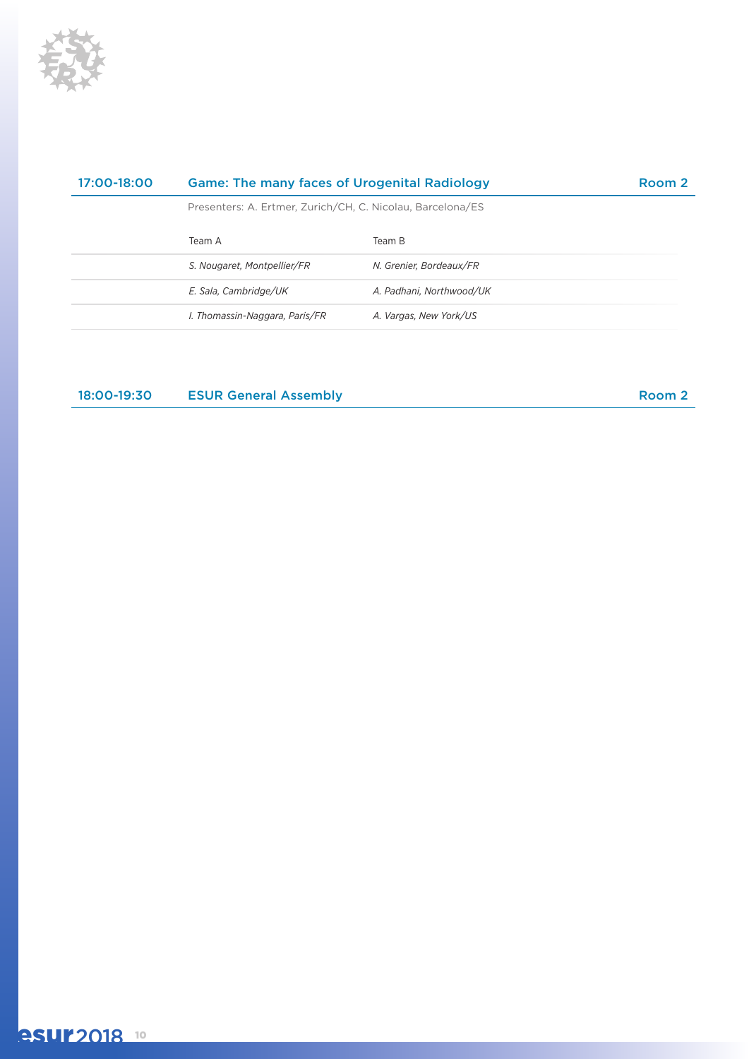

| 17:00-18:00 | <b>Game: The many faces of Urogenital Radiology</b>        |                          | Room 2 |
|-------------|------------------------------------------------------------|--------------------------|--------|
|             | Presenters: A. Ertmer, Zurich/CH, C. Nicolau, Barcelona/ES |                          |        |
|             | Team A                                                     | Team B                   |        |
|             | S. Nougaret, Montpellier/FR                                | N. Grenier, Bordeaux/FR  |        |
|             | E. Sala, Cambridge/UK                                      | A. Padhani. Northwood/UK |        |
|             | I. Thomassin-Naggara, Paris/FR                             | A. Vargas, New York/US   |        |
|             |                                                            |                          |        |

18:00-19:30 ESUR General Assembly Room 2

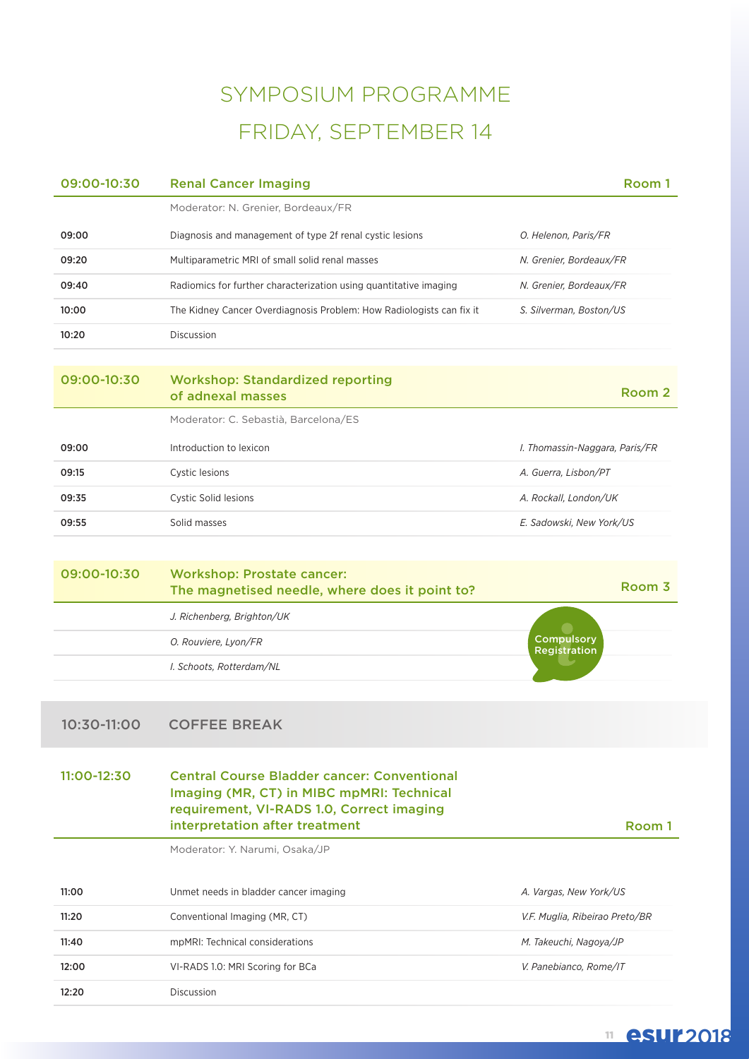# SYMPOSIUM PROGRAMME FRIDAY, SEPTEMBER 14

| 09:00-10:30 | <b>Renal Cancer Imaging</b>                                                                                                                                                    | Room 1                            |
|-------------|--------------------------------------------------------------------------------------------------------------------------------------------------------------------------------|-----------------------------------|
|             | Moderator: N. Grenier, Bordeaux/FR                                                                                                                                             |                                   |
| 09:00       | Diagnosis and management of type 2f renal cystic lesions                                                                                                                       | O. Helenon, Paris/FR              |
| 09:20       | Multiparametric MRI of small solid renal masses                                                                                                                                | N. Grenier, Bordeaux/FR           |
| 09:40       | Radiomics for further characterization using quantitative imaging                                                                                                              | N. Grenier, Bordeaux/FR           |
| 10:00       | The Kidney Cancer Overdiagnosis Problem: How Radiologists can fix it                                                                                                           | S. Silverman, Boston/US           |
| 10:20       | Discussion                                                                                                                                                                     |                                   |
| 09:00-10:30 | <b>Workshop: Standardized reporting</b><br>of adnexal masses                                                                                                                   | Room <sub>2</sub>                 |
|             | Moderator: C. Sebastià, Barcelona/ES                                                                                                                                           |                                   |
| 09:00       | Introduction to lexicon                                                                                                                                                        | I. Thomassin-Naggara, Paris/FR    |
| 09:15       | Cystic lesions                                                                                                                                                                 | A. Guerra, Lisbon/PT              |
| 09:35       | Cystic Solid lesions                                                                                                                                                           | A. Rockall, London/UK             |
| 09:55       | Solid masses                                                                                                                                                                   | E. Sadowski, New York/US          |
|             |                                                                                                                                                                                |                                   |
| 09:00-10:30 | <b>Workshop: Prostate cancer:</b><br>The magnetised needle, where does it point to?                                                                                            | Room 3                            |
|             | J. Richenberg, Brighton/UK                                                                                                                                                     |                                   |
|             | O. Rouviere, Lyon/FR                                                                                                                                                           | Compulsory<br><b>Registration</b> |
|             | I. Schoots, Rotterdam/NL                                                                                                                                                       |                                   |
|             |                                                                                                                                                                                |                                   |
| 10:30-11:00 | <b>COFFEE BREAK</b>                                                                                                                                                            |                                   |
| 11:00-12:30 | <b>Central Course Bladder cancer: Conventional</b><br>Imaging (MR, CT) in MIBC mpMRI: Technical<br>requirement, VI-RADS 1.0, Correct imaging<br>interpretation after treatment | Room 1                            |
|             | Moderator: Y. Narumi, Osaka/JP                                                                                                                                                 |                                   |
| 11:00       | Unmet needs in bladder cancer imaging                                                                                                                                          | A. Vargas, New York/US            |
| 11:20       | Conventional Imaging (MR, CT)                                                                                                                                                  | V.F. Muglia, Ribeirao Preto/BR    |
| 11:40       | mpMRI: Technical considerations                                                                                                                                                | M. Takeuchi, Nagoya/JP            |
| 12:00       | VI-RADS 1.0: MRI Scoring for BCa                                                                                                                                               | V. Panebianco, Rome/IT            |
| 12:20       | Discussion                                                                                                                                                                     |                                   |

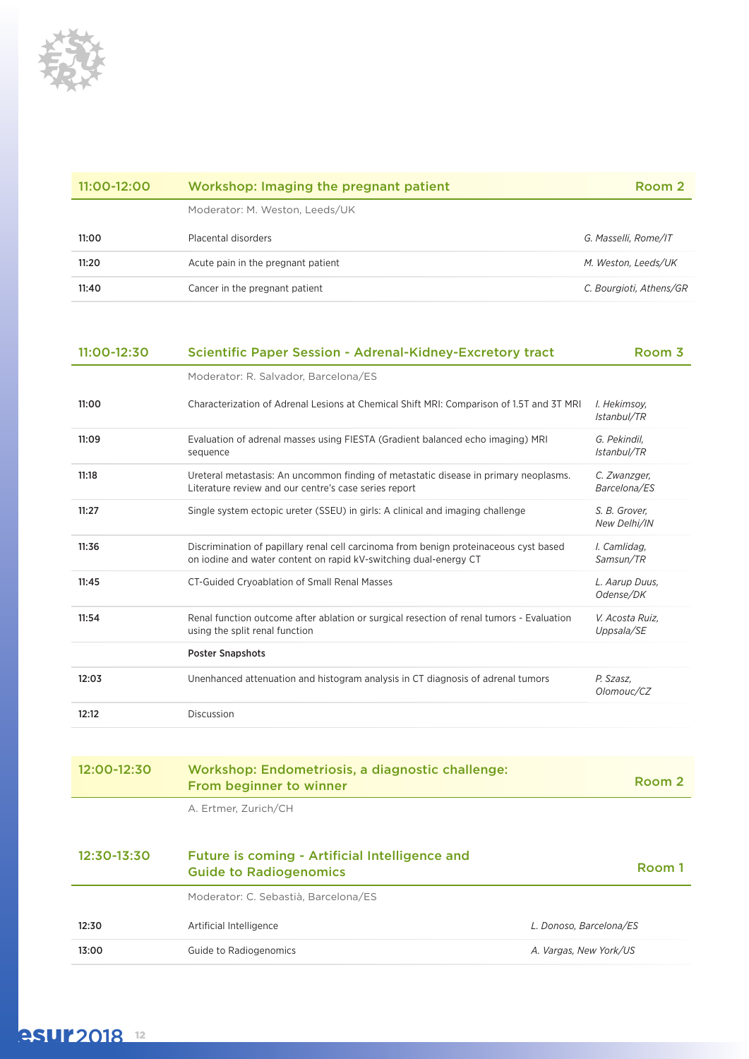

| $11:00-12:00$ | Workshop: Imaging the pregnant patient | Room 2                  |
|---------------|----------------------------------------|-------------------------|
|               | Moderator: M. Weston, Leeds/UK         |                         |
| 11:00         | Placental disorders                    | G. Masselli. Rome/IT    |
| 11:20         | Acute pain in the pregnant patient     | M. Weston, Leeds/UK     |
| 11:40         | Cancer in the pregnant patient         | C. Bourgioti, Athens/GR |

| 11:00-12:30 | <b>Scientific Paper Session - Adrenal-Kidney-Excretory tract</b>                                                                                          | Room 3                        |
|-------------|-----------------------------------------------------------------------------------------------------------------------------------------------------------|-------------------------------|
|             | Moderator: R. Salvador, Barcelona/ES                                                                                                                      |                               |
| 11:00       | Characterization of Adrenal Lesions at Chemical Shift MRI: Comparison of 1.5T and 3T MRI                                                                  | I. Hekimsov.<br>Istanbul/TR   |
| 11:09       | Evaluation of adrenal masses using FIESTA (Gradient balanced echo imaging) MRI<br>sequence                                                                | G. Pekindil,<br>Istanbul/TR   |
| 11:18       | Ureteral metastasis: An uncommon finding of metastatic disease in primary neoplasms.<br>Literature review and our centre's case series report             | C. Zwanzger,<br>Barcelona/ES  |
| 11:27       | Single system ectopic ureter (SSEU) in girls: A clinical and imaging challenge                                                                            | S. B. Grover,<br>New Delhi/IN |
| 11:36       | Discrimination of papillary renal cell carcinoma from benign proteinaceous cyst based<br>on iodine and water content on rapid kV-switching dual-energy CT | I. Camlidag.<br>Samsun/TR     |
| 11:45       | CT-Guided Cryoablation of Small Renal Masses                                                                                                              | L. Aarup Duus,<br>Odense/DK   |
| 11:54       | Renal function outcome after ablation or surgical resection of renal tumors - Evaluation<br>using the split renal function                                | V. Acosta Ruiz,<br>Uppsala/SE |
|             | <b>Poster Snapshots</b>                                                                                                                                   |                               |
| 12:03       | Unenhanced attenuation and histogram analysis in CT diagnosis of adrenal tumors                                                                           | P. Szasz.<br>Olomouc/CZ       |
| 12:12       | <b>Discussion</b>                                                                                                                                         |                               |
|             |                                                                                                                                                           |                               |
| 12:00-12:30 | Workshop: Endometriosis, a diagnostic challenge:<br><b>From beginner to winner</b>                                                                        | Room 2                        |

A. Ertmer, Zurich/CH

| 12:30-13:30 | Future is coming - Artificial Intelligence and<br><b>Guide to Radiogenomics</b> | Room 1                  |
|-------------|---------------------------------------------------------------------------------|-------------------------|
|             | Moderator: C. Sebastià, Barcelona/ES                                            |                         |
| 12:30       | Artificial Intelligence                                                         | L. Donoso. Barcelona/ES |
| 13:00       | Guide to Radiogenomics                                                          | A. Vargas, New York/US  |

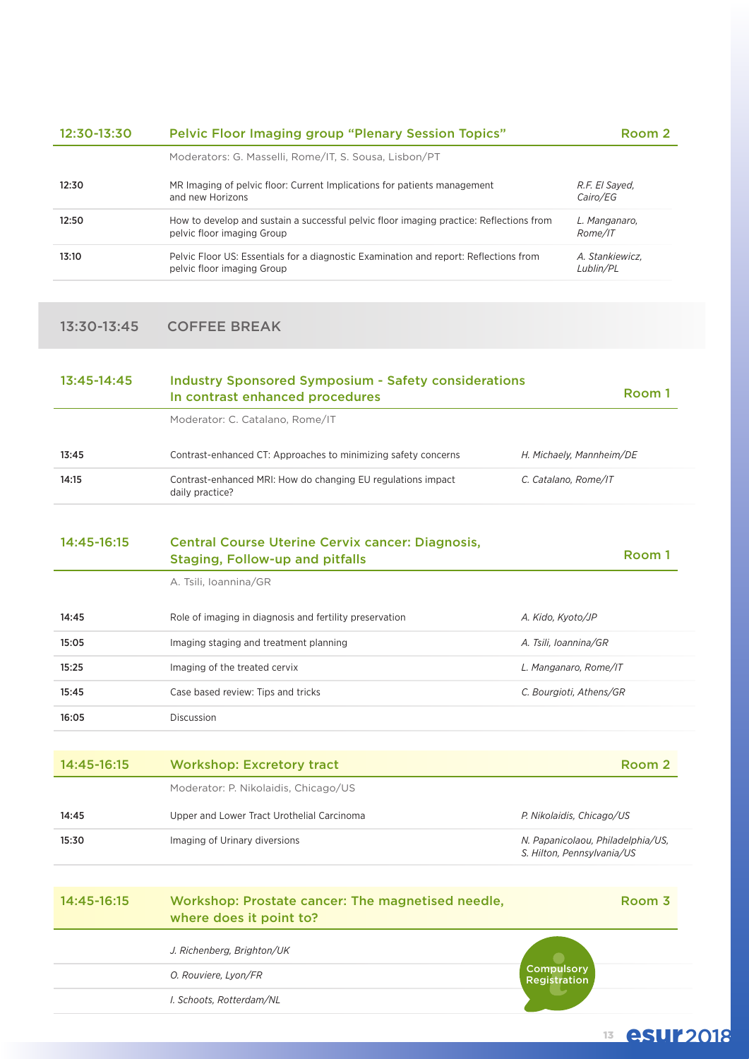| 12:30-13:30 | <b>Pelvic Floor Imaging group "Plenary Session Topics"</b>                                                            | Room 2                       |
|-------------|-----------------------------------------------------------------------------------------------------------------------|------------------------------|
|             | Moderators: G. Masselli, Rome/IT, S. Sousa, Lisbon/PT                                                                 |                              |
| 12:30       | MR Imaging of pelvic floor: Current Implications for patients management<br>and new Horizons                          | R.F. El Sayed.<br>Cairo/EG   |
| 12:50       | How to develop and sustain a successful pelvic floor imaging practice: Reflections from<br>pelvic floor imaging Group | L. Manganaro.<br>Rome/IT     |
| 13:10       | Pelvic Floor US: Essentials for a diagnostic Examination and report: Reflections from<br>pelvic floor imaging Group   | A. Stankiewicz.<br>Lublin/PL |

### 13:30-13:45 COFFEE BREAK

| Moderator: C. Catalano, Rome/IT<br>Contrast-enhanced CT: Approaches to minimizing safety concerns<br>H. Michaely, Mannheim/DE<br>13:45<br>14:15<br>Contrast-enhanced MRI: How do changing EU regulations impact<br>C. Catalano, Rome/IT<br>daily practice?<br>14:45-16:15<br><b>Central Course Uterine Cervix cancer: Diagnosis,</b><br><b>Staging, Follow-up and pitfalls</b><br>A. Tsili, Ioannina/GR<br>14:45<br>Role of imaging in diagnosis and fertility preservation<br>A. Kido, Kyoto/JP<br>15:05<br>Imaging staging and treatment planning<br>A. Tsili, Ioannina/GR<br>Imaging of the treated cervix<br>L. Manganaro, Rome/IT<br>15:25<br>Case based review: Tips and tricks<br>C. Bourgioti, Athens/GR<br>15:45<br>16:05<br>Discussion<br>14:45-16:15<br><b>Workshop: Excretory tract</b><br>Moderator: P. Nikolaidis, Chicago/US<br>14:45<br>Upper and Lower Tract Urothelial Carcinoma<br>P. Nikolaidis, Chicago/US<br>15:30<br>Imaging of Urinary diversions<br>S. Hilton, Pennsylvania/US<br>14:45-16:15<br>Workshop: Prostate cancer: The magnetised needle,<br>where does it point to?<br>J. Richenberg, Brighton/UK<br>Compulsory<br>O. Rouviere, Lyon/FR<br>Registration<br>I. Schoots, Rotterdam/NL | 13:45-14:45 | <b>Industry Sponsored Symposium - Safety considerations</b><br>In contrast enhanced procedures |                                   |  |
|------------------------------------------------------------------------------------------------------------------------------------------------------------------------------------------------------------------------------------------------------------------------------------------------------------------------------------------------------------------------------------------------------------------------------------------------------------------------------------------------------------------------------------------------------------------------------------------------------------------------------------------------------------------------------------------------------------------------------------------------------------------------------------------------------------------------------------------------------------------------------------------------------------------------------------------------------------------------------------------------------------------------------------------------------------------------------------------------------------------------------------------------------------------------------------------------------------------------|-------------|------------------------------------------------------------------------------------------------|-----------------------------------|--|
|                                                                                                                                                                                                                                                                                                                                                                                                                                                                                                                                                                                                                                                                                                                                                                                                                                                                                                                                                                                                                                                                                                                                                                                                                        |             |                                                                                                |                                   |  |
|                                                                                                                                                                                                                                                                                                                                                                                                                                                                                                                                                                                                                                                                                                                                                                                                                                                                                                                                                                                                                                                                                                                                                                                                                        |             |                                                                                                |                                   |  |
|                                                                                                                                                                                                                                                                                                                                                                                                                                                                                                                                                                                                                                                                                                                                                                                                                                                                                                                                                                                                                                                                                                                                                                                                                        |             |                                                                                                |                                   |  |
|                                                                                                                                                                                                                                                                                                                                                                                                                                                                                                                                                                                                                                                                                                                                                                                                                                                                                                                                                                                                                                                                                                                                                                                                                        |             |                                                                                                | Room 1                            |  |
|                                                                                                                                                                                                                                                                                                                                                                                                                                                                                                                                                                                                                                                                                                                                                                                                                                                                                                                                                                                                                                                                                                                                                                                                                        |             |                                                                                                |                                   |  |
|                                                                                                                                                                                                                                                                                                                                                                                                                                                                                                                                                                                                                                                                                                                                                                                                                                                                                                                                                                                                                                                                                                                                                                                                                        |             |                                                                                                |                                   |  |
|                                                                                                                                                                                                                                                                                                                                                                                                                                                                                                                                                                                                                                                                                                                                                                                                                                                                                                                                                                                                                                                                                                                                                                                                                        |             |                                                                                                |                                   |  |
|                                                                                                                                                                                                                                                                                                                                                                                                                                                                                                                                                                                                                                                                                                                                                                                                                                                                                                                                                                                                                                                                                                                                                                                                                        |             |                                                                                                |                                   |  |
|                                                                                                                                                                                                                                                                                                                                                                                                                                                                                                                                                                                                                                                                                                                                                                                                                                                                                                                                                                                                                                                                                                                                                                                                                        |             |                                                                                                |                                   |  |
|                                                                                                                                                                                                                                                                                                                                                                                                                                                                                                                                                                                                                                                                                                                                                                                                                                                                                                                                                                                                                                                                                                                                                                                                                        |             |                                                                                                |                                   |  |
|                                                                                                                                                                                                                                                                                                                                                                                                                                                                                                                                                                                                                                                                                                                                                                                                                                                                                                                                                                                                                                                                                                                                                                                                                        |             |                                                                                                |                                   |  |
|                                                                                                                                                                                                                                                                                                                                                                                                                                                                                                                                                                                                                                                                                                                                                                                                                                                                                                                                                                                                                                                                                                                                                                                                                        |             |                                                                                                | Room <sub>2</sub>                 |  |
|                                                                                                                                                                                                                                                                                                                                                                                                                                                                                                                                                                                                                                                                                                                                                                                                                                                                                                                                                                                                                                                                                                                                                                                                                        |             |                                                                                                |                                   |  |
|                                                                                                                                                                                                                                                                                                                                                                                                                                                                                                                                                                                                                                                                                                                                                                                                                                                                                                                                                                                                                                                                                                                                                                                                                        |             |                                                                                                |                                   |  |
|                                                                                                                                                                                                                                                                                                                                                                                                                                                                                                                                                                                                                                                                                                                                                                                                                                                                                                                                                                                                                                                                                                                                                                                                                        |             |                                                                                                | N. Papanicolaou, Philadelphia/US, |  |
|                                                                                                                                                                                                                                                                                                                                                                                                                                                                                                                                                                                                                                                                                                                                                                                                                                                                                                                                                                                                                                                                                                                                                                                                                        |             |                                                                                                | Room <sub>3</sub>                 |  |
|                                                                                                                                                                                                                                                                                                                                                                                                                                                                                                                                                                                                                                                                                                                                                                                                                                                                                                                                                                                                                                                                                                                                                                                                                        |             |                                                                                                |                                   |  |
|                                                                                                                                                                                                                                                                                                                                                                                                                                                                                                                                                                                                                                                                                                                                                                                                                                                                                                                                                                                                                                                                                                                                                                                                                        |             |                                                                                                |                                   |  |
|                                                                                                                                                                                                                                                                                                                                                                                                                                                                                                                                                                                                                                                                                                                                                                                                                                                                                                                                                                                                                                                                                                                                                                                                                        |             |                                                                                                |                                   |  |
| 13                                                                                                                                                                                                                                                                                                                                                                                                                                                                                                                                                                                                                                                                                                                                                                                                                                                                                                                                                                                                                                                                                                                                                                                                                     |             |                                                                                                | <b>esur2018</b>                   |  |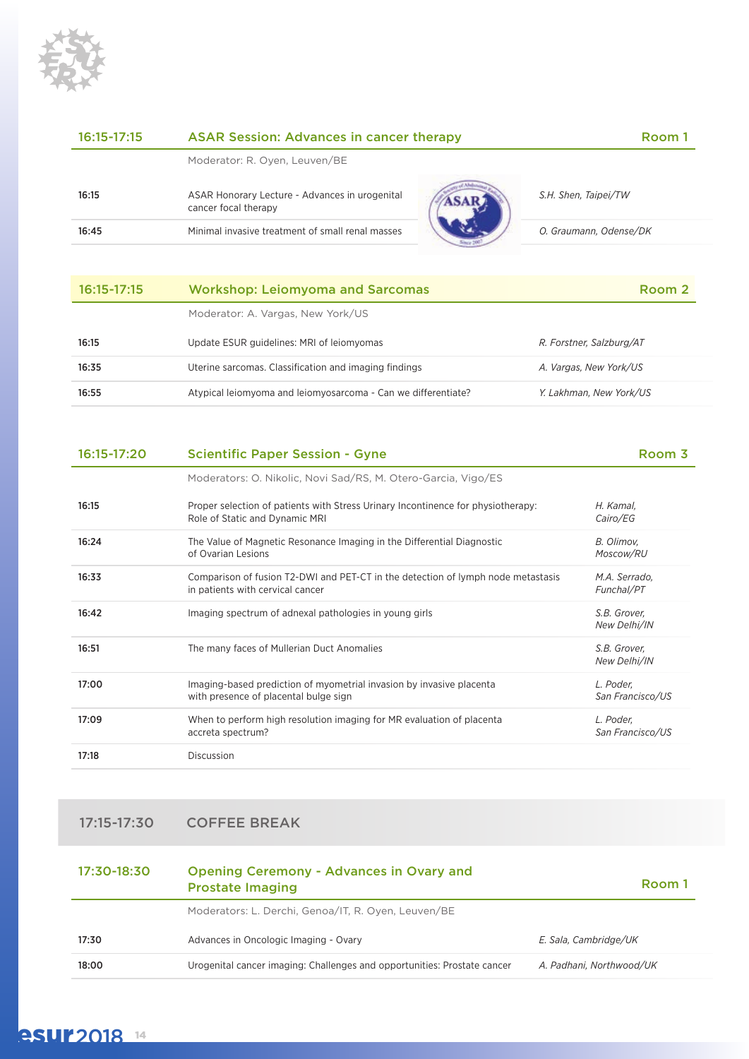

| $16:15 - 17:15$ | <b>ASAR Session: Advances in cancer therapy</b><br>Room i              |  |                        |
|-----------------|------------------------------------------------------------------------|--|------------------------|
|                 | Moderator: R. Oyen, Leuven/BE                                          |  |                        |
| 16:15           | ASAR Honorary Lecture - Advances in urogenital<br>cancer focal therapy |  | S.H. Shen, Taipei/TW   |
| 16:45           | Minimal invasive treatment of small renal masses                       |  | O. Graumann, Odense/DK |
|                 |                                                                        |  |                        |

| $16:15 - 17:15$ | <b>Workshop: Leiomyoma and Sarcomas</b>                       | Room 2                   |
|-----------------|---------------------------------------------------------------|--------------------------|
|                 | Moderator: A. Vargas, New York/US                             |                          |
| 16:15           | Update ESUR guidelines: MRI of leiomyomas                     | R. Forstner, Salzburg/AT |
| 16:35           | Uterine sarcomas. Classification and imaging findings         | A. Vargas, New York/US   |
| 16:55           | Atypical leiomyoma and leiomyosarcoma - Can we differentiate? | Y. Lakhman, New York/US  |

| 16:15-17:20<br><b>Scientific Paper Session - Gyne</b> |                                                                                                                      | Room 3                        |  |
|-------------------------------------------------------|----------------------------------------------------------------------------------------------------------------------|-------------------------------|--|
|                                                       | Moderators: O. Nikolic, Novi Sad/RS, M. Otero-Garcia, Vigo/ES                                                        |                               |  |
| 16:15                                                 | Proper selection of patients with Stress Urinary Incontinence for physiotherapy:<br>Role of Static and Dynamic MRI   | H. Kamal,<br>Cairo/EG         |  |
| 16:24                                                 | The Value of Magnetic Resonance Imaging in the Differential Diagnostic<br>of Ovarian Lesions                         | B. Olimov.<br>Moscow/RU       |  |
| 16:33                                                 | Comparison of fusion T2-DWI and PET-CT in the detection of lymph node metastasis<br>in patients with cervical cancer | M.A. Serrado,<br>Funchal/PT   |  |
| 16:42                                                 | Imaging spectrum of adnexal pathologies in young girls                                                               | S.B. Grover,<br>New Delhi/IN  |  |
| 16:51                                                 | The many faces of Mullerian Duct Anomalies                                                                           | S.B. Grover,<br>New Delhi/IN  |  |
| 17:00                                                 | Imaging-based prediction of myometrial invasion by invasive placenta<br>with presence of placental bulge sign        | L. Poder,<br>San Francisco/US |  |
| 17:09                                                 | When to perform high resolution imaging for MR evaluation of placenta<br>accreta spectrum?                           | L. Poder,<br>San Francisco/US |  |
| 17:18                                                 | Discussion                                                                                                           |                               |  |

### 17:15-17:30 COFFEE BREAK

| 17:30-18:30 | <b>Opening Ceremony - Advances in Ovary and</b><br>Room 1<br><b>Prostate Imaging</b> |                          |
|-------------|--------------------------------------------------------------------------------------|--------------------------|
|             | Moderators: L. Derchi, Genoa/IT, R. Oyen, Leuven/BE                                  |                          |
| 17:30       | Advances in Oncologic Imaging - Ovary                                                | E. Sala. Cambridge/UK    |
| 18:00       | Urogenital cancer imaging: Challenges and opportunities: Prostate cancer             | A. Padhani, Northwood/UK |

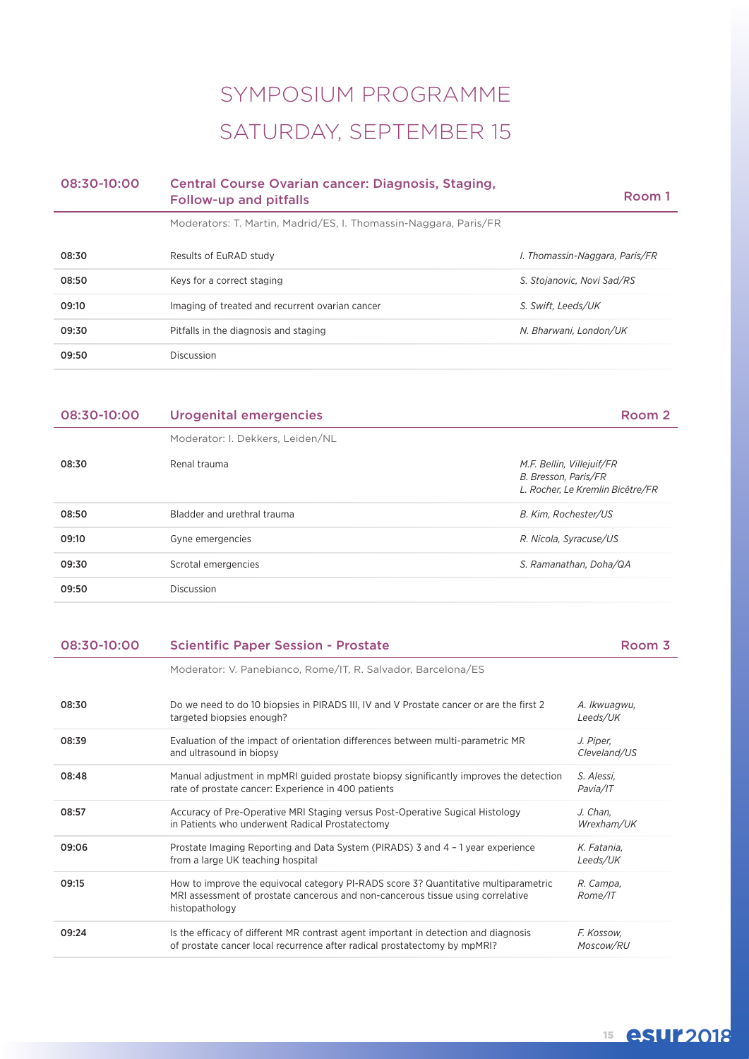# SYMPOSIUM PROGRAMME SATURDAY, SEPTEMBER 15

| 08:30-10:00 | Central Course Ovarian cancer: Diagnosis, Staging,<br><b>Follow-up and pitfalls</b> | Room 1 |
|-------------|-------------------------------------------------------------------------------------|--------|
|             | Moderators: T. Martin, Madrid/ES, I. Thomassin-Naggara, Paris/FR                    |        |

| 08:30 | Results of EuRAD study                          | I. Thomassin-Naggara, Paris/FR |
|-------|-------------------------------------------------|--------------------------------|
| 08:50 | Keys for a correct staging                      | S. Stojanovic, Novi Sad/RS     |
| 09:10 | Imaging of treated and recurrent ovarian cancer | S. Swift, Leeds/UK             |
| 09:30 | Pitfalls in the diagnosis and staging           | N. Bharwani, London/UK         |
| 09:50 | Discussion                                      |                                |

| 08:30-10:00 | Urogenital emergencies           | Room 2                                                                                |
|-------------|----------------------------------|---------------------------------------------------------------------------------------|
|             | Moderator: I. Dekkers, Leiden/NL |                                                                                       |
| 08:30       | Renal trauma                     | M.F. Bellin, Villejuif/FR<br>B. Bresson, Paris/FR<br>L. Rocher, Le Kremlin Bicêtre/FR |
| 08:50       | Bladder and urethral trauma      | B. Kim, Rochester/US                                                                  |
| 09:10       | Gyne emergencies                 | R. Nicola, Syracuse/US                                                                |
| 09:30       | Scrotal emergencies              | S. Ramanathan, Doha/QA                                                                |
| 09:50       | <b>Discussion</b>                |                                                                                       |
|             |                                  |                                                                                       |

### 08:30-10:00 Scientific Paper Session - Prostate Room 3

Moderator: V. Panebianco, Rome/IT, R. Salvador, Barcelona/ES

| 08:30 | Do we need to do 10 biopsies in PIRADS III, IV and V Prostate cancer or are the first 2<br>targeted biopsies enough?                                                                     | A. Ikwuagwu,<br>Leeds/UK  |
|-------|------------------------------------------------------------------------------------------------------------------------------------------------------------------------------------------|---------------------------|
| 08:39 | Evaluation of the impact of orientation differences between multi-parametric MR<br>and ultrasound in biopsy                                                                              | J. Piper,<br>Cleveland/US |
| 08:48 | Manual adjustment in mpMRI guided prostate biopsy significantly improves the detection<br>rate of prostate cancer: Experience in 400 patients                                            | S. Alessi,<br>Pavia/IT    |
| 08:57 | Accuracy of Pre-Operative MRI Staging versus Post-Operative Sugical Histology<br>in Patients who underwent Radical Prostatectomy                                                         | J. Chan.<br>Wrexham/UK    |
| 09:06 | Prostate Imaging Reporting and Data System (PIRADS) 3 and 4 - 1 year experience<br>from a large UK teaching hospital                                                                     | K. Fatania,<br>Leeds/UK   |
| 09:15 | How to improve the equivocal category PI-RADS score 3? Quantitative multiparametric<br>MRI assessment of prostate cancerous and non-cancerous tissue using correlative<br>histopathology | R. Campa,<br>Rome/IT      |
| 09:24 | Is the efficacy of different MR contrast agent important in detection and diagnosis<br>of prostate cancer local recurrence after radical prostatectomy by mpMRI?                         | F. Kossow.<br>Moscow/RU   |

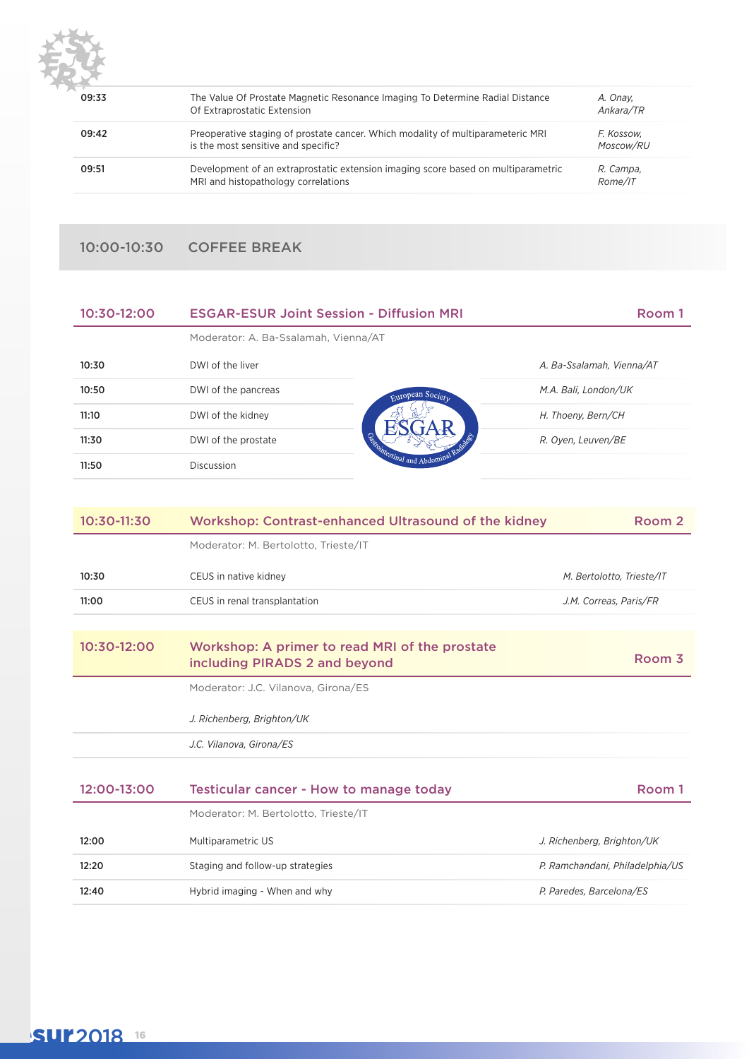

| 09:33 | The Value Of Prostate Magnetic Resonance Imaging To Determine Radial Distance<br>Of Extraprostatic Extension             | A. Onav.<br>Ankara/TR   |
|-------|--------------------------------------------------------------------------------------------------------------------------|-------------------------|
| 09:42 | Preoperative staging of prostate cancer. Which modality of multiparameteric MRI<br>is the most sensitive and specific?   | F. Kossow.<br>Moscow/RU |
| 09:51 | Development of an extraprostatic extension imaging score based on multiparametric<br>MRI and histopathology correlations | R. Campa.<br>Rome/IT    |

### 10:00-10:30 COFFEE BREAK

| 10:30-12:00 | <b>ESGAR-ESUR Joint Session - Diffusion MRI</b> |                                                        | Room 1                    |
|-------------|-------------------------------------------------|--------------------------------------------------------|---------------------------|
|             | Moderator: A. Ba-Ssalamah, Vienna/AT            |                                                        |                           |
| 10:30       | DWI of the liver                                |                                                        | A. Ba-Ssalamah, Vienna/AT |
| 10:50       | DWI of the pancreas                             | European Society<br>Campingstinal and Abdomin<br>Radio | M.A. Bali, London/UK      |
| 11:10       | DWI of the kidney                               |                                                        | H. Thoeny, Bern/CH        |
| 11:30       | DWI of the prostate                             |                                                        | R. Oyen, Leuven/BE        |
| 11:50       | Discussion                                      |                                                        |                           |

| 10:30-11:30 | <b>Workshop: Contrast-enhanced Ultrasound of the kidney</b>                     | Room 2                          |
|-------------|---------------------------------------------------------------------------------|---------------------------------|
|             | Moderator: M. Bertolotto, Trieste/IT                                            |                                 |
| 10:30       | CEUS in native kidney                                                           | M. Bertolotto, Trieste/IT       |
| 11:00       | CEUS in renal transplantation                                                   | J.M. Correas, Paris/FR          |
|             |                                                                                 |                                 |
| 10:30-12:00 | Workshop: A primer to read MRI of the prostate<br>including PIRADS 2 and beyond | Room 3                          |
|             | Moderator: J.C. Vilanova, Girona/ES                                             |                                 |
|             | J. Richenberg, Brighton/UK                                                      |                                 |
|             | J.C. Vilanova, Girona/ES                                                        |                                 |
|             |                                                                                 |                                 |
| 12:00-13:00 | Testicular cancer - How to manage today                                         | Room 1                          |
|             | Moderator: M. Bertolotto, Trieste/IT                                            |                                 |
| 12:00       | Multiparametric US                                                              | J. Richenberg, Brighton/UK      |
| 12:20       | Staging and follow-up strategies                                                | P. Ramchandani, Philadelphia/US |
| 12:40       | Hybrid imaging - When and why                                                   | P. Paredes, Barcelona/ES        |

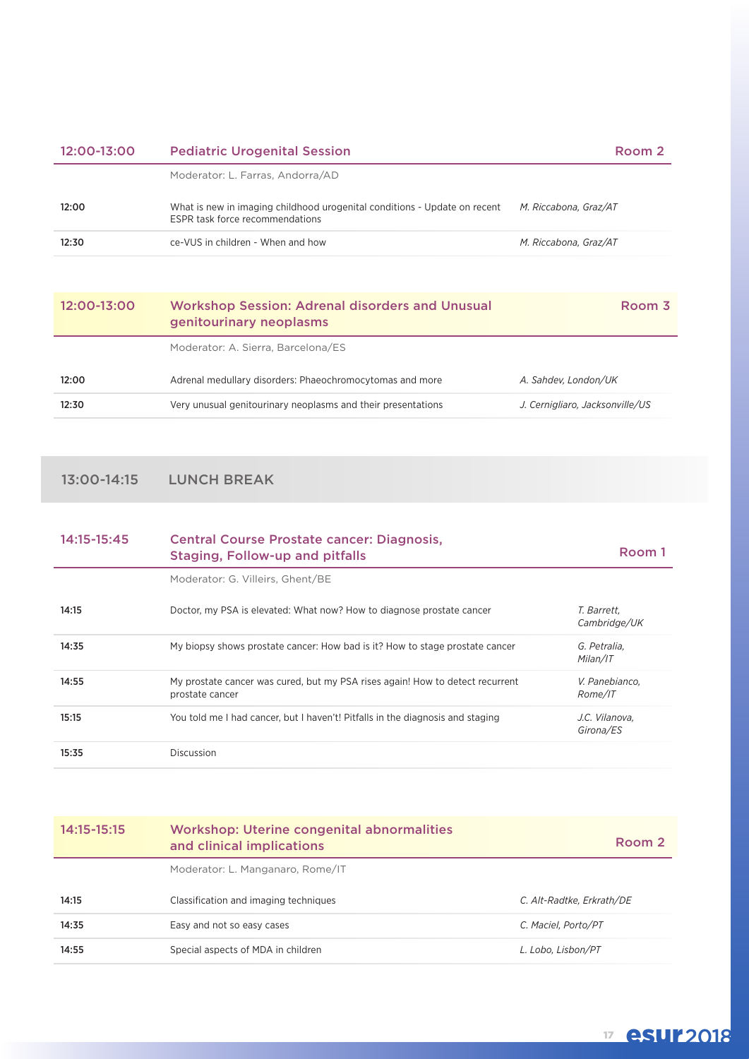| 12:00-13:00 | <b>Pediatric Urogenital Session</b>                                                                          | Room 2                |
|-------------|--------------------------------------------------------------------------------------------------------------|-----------------------|
|             | Moderator: L. Farras, Andorra/AD                                                                             |                       |
| 12:00       | What is new in imaging childhood urogenital conditions - Update on recent<br>ESPR task force recommendations | M. Riccabona, Graz/AT |
| 12:30       | ce-VUS in children - When and how                                                                            | M. Riccabona. Graz/AT |

| 12:00-13:00 | <b>Workshop Session: Adrenal disorders and Unusual</b><br>genitourinary neoplasms | Room 3                          |
|-------------|-----------------------------------------------------------------------------------|---------------------------------|
|             | Moderator: A. Sierra, Barcelona/ES                                                |                                 |
| 12:00       | Adrenal medullary disorders: Phaeochromocytomas and more                          | A. Sahdev. London/UK            |
| 12:30       | Very unusual genitourinary neoplasms and their presentations                      | J. Cernigliaro, Jacksonville/US |

13:00-14:15 LUNCH BREAK

| 14:15-15:45 | <b>Central Course Prostate cancer: Diagnosis,</b><br><b>Staging, Follow-up and pitfalls</b>      | Room 1                      |
|-------------|--------------------------------------------------------------------------------------------------|-----------------------------|
|             | Moderator: G. Villeirs, Ghent/BE                                                                 |                             |
| 14:15       | Doctor, my PSA is elevated: What now? How to diagnose prostate cancer                            | T. Barrett.<br>Cambridge/UK |
| 14:35       | My biopsy shows prostate cancer: How bad is it? How to stage prostate cancer                     | G. Petralia,<br>Milan/IT    |
| 14:55       | My prostate cancer was cured, but my PSA rises again! How to detect recurrent<br>prostate cancer | V. Panebianco,<br>Rome/IT   |
| 15:15       | You told me I had cancer, but I haven't! Pitfalls in the diagnosis and staging                   | J.C. Vilanova.<br>Girona/ES |
| 15:35       | Discussion                                                                                       |                             |

| 14:15-15:15 | <b>Workshop: Uterine congenital abnormalities</b><br>and clinical implications | Room 2                    |
|-------------|--------------------------------------------------------------------------------|---------------------------|
|             | Moderator: L. Manganaro, Rome/IT                                               |                           |
| 14:15       | Classification and imaging techniques                                          | C. Alt-Radtke, Erkrath/DE |
| 14:35       | Easy and not so easy cases                                                     | C. Maciel. Porto/PT       |
| 14:55       | Special aspects of MDA in children                                             | L. Lobo. Lisbon/PT        |

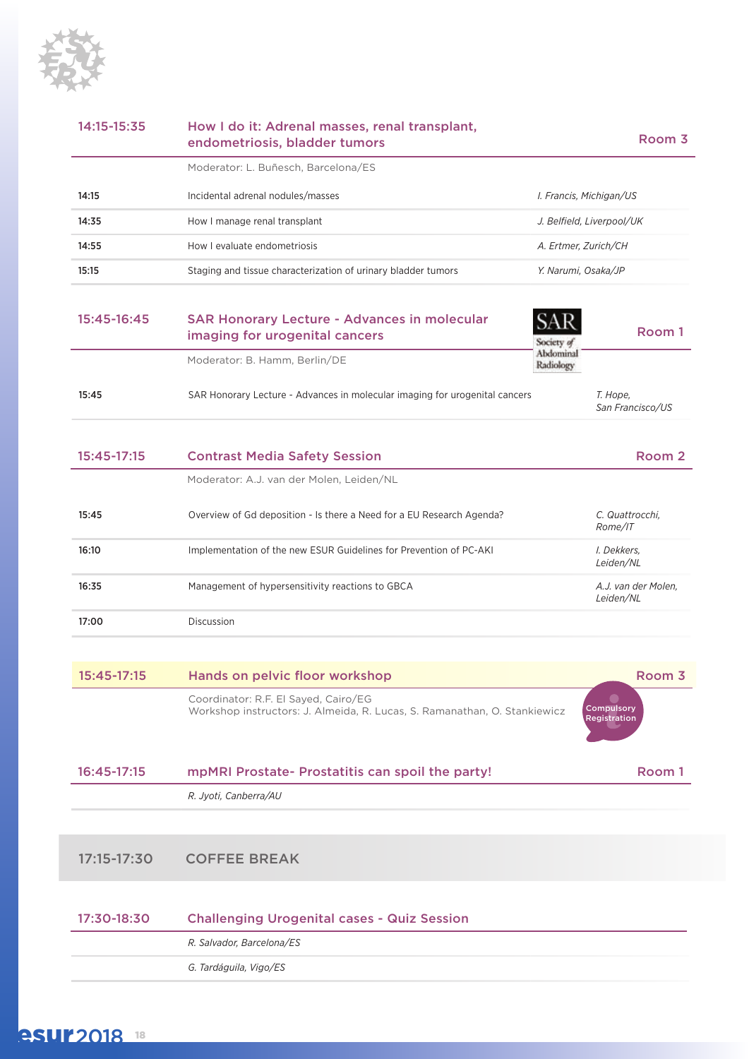

| 14:15-15:35 | How I do it: Adrenal masses, renal transplant,<br>endometriosis, bladder tumors | Room 3                         |
|-------------|---------------------------------------------------------------------------------|--------------------------------|
|             | Moderator: L. Buñesch, Barcelona/ES                                             |                                |
| 14:15       | Incidental adrenal nodules/masses                                               | <i>I. Francis, Michigan/US</i> |
| 14:35       | How I manage renal transplant                                                   | J. Belfield. Liverpool/UK      |
| 14:55       | How I evaluate endometriosis                                                    | A. Ertmer. Zurich/CH           |
| 15:15       | Staging and tissue characterization of urinary bladder tumors                   | Y. Narumi, Osaka/JP            |
|             |                                                                                 |                                |

| 15:45-16:45 | <b>SAR Honorary Lecture - Advances in molecular</b><br>imaging for urogenital cancers | Society a                           | Room 1                       |  |
|-------------|---------------------------------------------------------------------------------------|-------------------------------------|------------------------------|--|
|             | Moderator: B. Hamm, Berlin/DE                                                         | Abdominal<br>Radiology <sup>-</sup> |                              |  |
| 15:45       | SAR Honorary Lecture - Advances in molecular imaging for urogenital cancers           |                                     | T. Hope,<br>San Francisco/US |  |
|             |                                                                                       |                                     |                              |  |

| 15:45-17:15 | <b>Contrast Media Safety Session</b>                                  | Room 2                           |
|-------------|-----------------------------------------------------------------------|----------------------------------|
|             | Moderator: A.J. van der Molen. Leiden/NL                              |                                  |
| 15:45       | Overview of Gd deposition - Is there a Need for a EU Research Agenda? | C. Quattrocchi.<br>Rome/IT       |
| 16:10       | Implementation of the new ESUR Guidelines for Prevention of PC-AKI    | I. Dekkers.<br>Leiden/NL         |
| 16:35       | Management of hypersensitivity reactions to GBCA                      | A.J. van der Molen.<br>Leiden/NL |
| 17:00       | Discussion                                                            |                                  |

| 15:45-17:15 | Hands on pelvic floor workshop                                                                                    | Room 3                            |
|-------------|-------------------------------------------------------------------------------------------------------------------|-----------------------------------|
|             | Coordinator: R.F. El Sayed, Cairo/EG<br>Workshop instructors: J. Almeida, R. Lucas, S. Ramanathan, O. Stankiewicz | Compulsory<br><b>Registration</b> |

| 16:45-17:15 | mpMRI Prostate- Prostatitis can spoil the party! | Room 1 |
|-------------|--------------------------------------------------|--------|
|             | R. Jvoti. Canberra/AU                            |        |

### 17:15-17:30 COFFEE BREAK

| 17:30-18:30 | <b>Challenging Urogenital cases - Quiz Session</b> |
|-------------|----------------------------------------------------|
|             | R. Salvador, Barcelona/ES                          |
|             | G. Tardáguila, Vigo/ES                             |

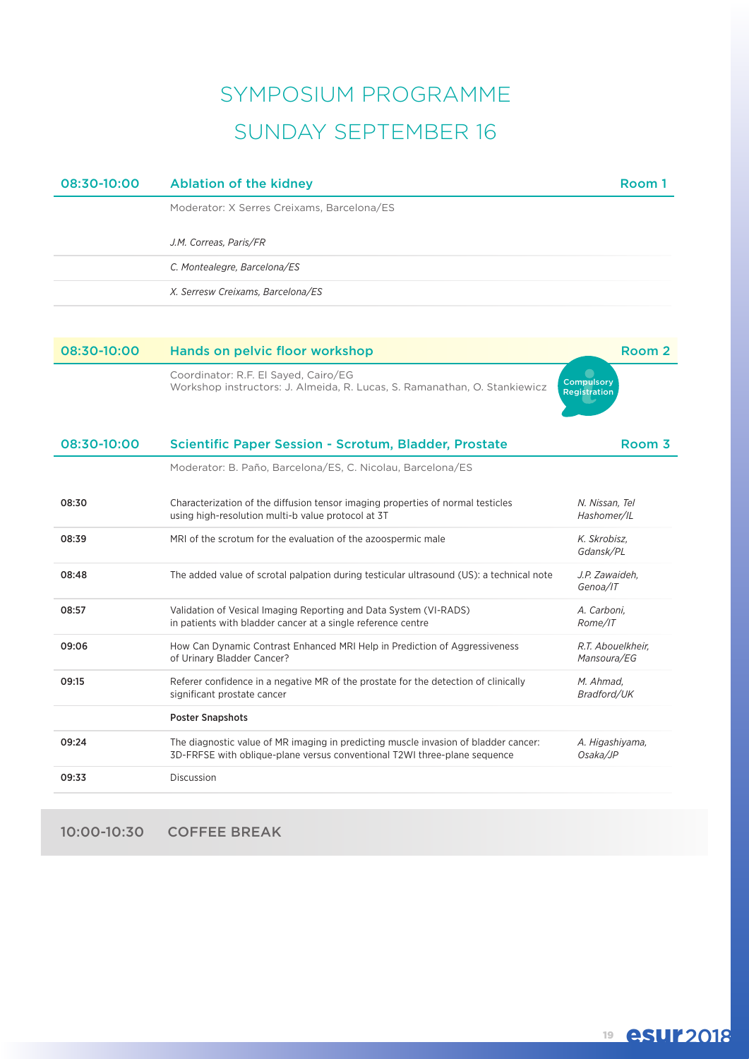# SYMPOSIUM PROGRAMME SUNDAY SEPTEMBER 16

| 08:30-10:00 | <b>Ablation of the kidney</b>                                                                                                                                    | Room 1                            |
|-------------|------------------------------------------------------------------------------------------------------------------------------------------------------------------|-----------------------------------|
|             | Moderator: X Serres Creixams, Barcelona/ES                                                                                                                       |                                   |
|             | J.M. Correas, Paris/FR                                                                                                                                           |                                   |
|             | C. Montealegre, Barcelona/ES                                                                                                                                     |                                   |
|             | X. Serresw Creixams, Barcelona/ES                                                                                                                                |                                   |
|             |                                                                                                                                                                  |                                   |
| 08:30-10:00 | Hands on pelvic floor workshop                                                                                                                                   | Room 2                            |
|             | Coordinator: R.F. El Sayed, Cairo/EG<br>Workshop instructors: J. Almeida, R. Lucas, S. Ramanathan, O. Stankiewicz                                                | Compulsory<br><b>Registration</b> |
| 08:30-10:00 | Scientific Paper Session - Scrotum, Bladder, Prostate                                                                                                            | Room 3                            |
|             | Moderator: B. Paño, Barcelona/ES, C. Nicolau, Barcelona/ES                                                                                                       |                                   |
| 08:30       | Characterization of the diffusion tensor imaging properties of normal testicles<br>using high-resolution multi-b value protocol at 3T                            | N. Nissan, Tel<br>Hashomer/IL     |
| 08:39       | MRI of the scrotum for the evaluation of the azoospermic male                                                                                                    | K. Skrobisz,<br>Gdansk/PL         |
| 08:48       | The added value of scrotal palpation during testicular ultrasound (US): a technical note                                                                         | J.P. Zawaideh.<br>Genoa/IT        |
| 08:57       | Validation of Vesical Imaging Reporting and Data System (VI-RADS)<br>in patients with bladder cancer at a single reference centre                                | A. Carboni,<br>Rome/IT            |
| 09:06       | How Can Dynamic Contrast Enhanced MRI Help in Prediction of Aggressiveness<br>of Urinary Bladder Cancer?                                                         | R.T. Abouelkheir.<br>Mansoura/EG  |
| 09:15       | Referer confidence in a negative MR of the prostate for the detection of clinically<br>significant prostate cancer                                               | M. Ahmad,<br>Bradford/UK          |
|             | <b>Poster Snapshots</b>                                                                                                                                          |                                   |
| 09:24       | The diagnostic value of MR imaging in predicting muscle invasion of bladder cancer:<br>3D-FRFSE with oblique-plane versus conventional T2WI three-plane sequence | A. Higashiyama,<br>Osaka/JP       |
| 09:33       | Discussion                                                                                                                                                       |                                   |
|             |                                                                                                                                                                  |                                   |

10:00-10:30 COFFEE BREAK

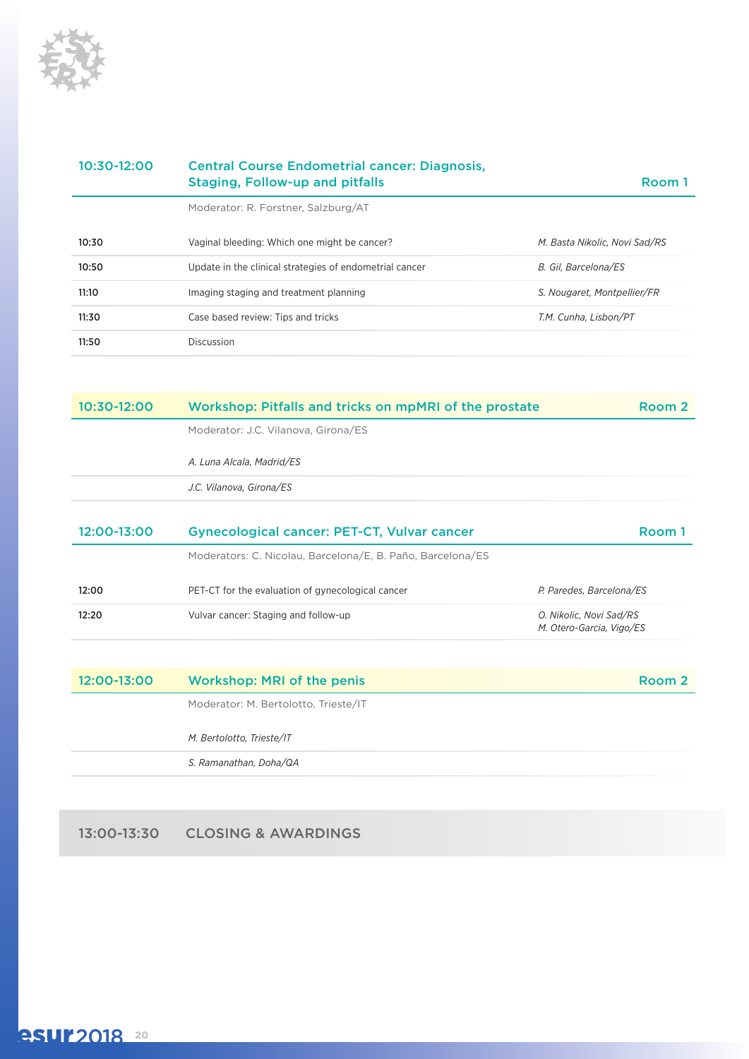

| 10:30-12:00 | <b>Central Course Endometrial cancer: Diagnosis,</b><br>Staging, Follow-up and pitfalls | Room 1                        |
|-------------|-----------------------------------------------------------------------------------------|-------------------------------|
|             | Moderator: R. Forstner, Salzburg/AT                                                     |                               |
| 10:30       | Vaginal bleeding: Which one might be cancer?                                            | M. Basta Nikolic. Novi Sad/RS |
| 10:50       | Update in the clinical strategies of endometrial cancer                                 | B. Gil, Barcelona/ES          |
| 11:10       | Imaging staging and treatment planning                                                  | S. Nougaret, Montpellier/FR   |
| 11:30       | Case based review: Tips and tricks                                                      | T.M. Cunha. Lisbon/PT         |
| 11:50       | Discussion                                                                              |                               |

| 10:30-12:00 | Workshop: Pitfalls and tricks on mpMRI of the prostate     | Room 2                   |
|-------------|------------------------------------------------------------|--------------------------|
|             | Moderator: J.C. Vilanova, Girona/ES                        |                          |
|             | A. Luna Alcala, Madrid/ES                                  |                          |
|             | J.C. Vilanova, Girona/ES                                   |                          |
|             |                                                            |                          |
| 12:00-13:00 | <b>Gynecological cancer: PET-CT, Vulvar cancer</b>         | Room 1                   |
|             | Moderators: C. Nicolau, Barcelona/E, B. Paño, Barcelona/ES |                          |
| 12:00       | PET-CT for the evaluation of gynecological cancer          | P. Paredes, Barcelona/ES |

| $12:00 - 13:00$ | <b>Workshop: MRI of the penis</b>    | Room 2 |
|-----------------|--------------------------------------|--------|
|                 | Moderator: M. Bertolotto, Trieste/IT |        |
|                 | M. Bertolotto, Trieste/IT            |        |
|                 | S. Ramanathan, Doha/QA               |        |

13:00-13:30 CLOSING & AWARDINGS

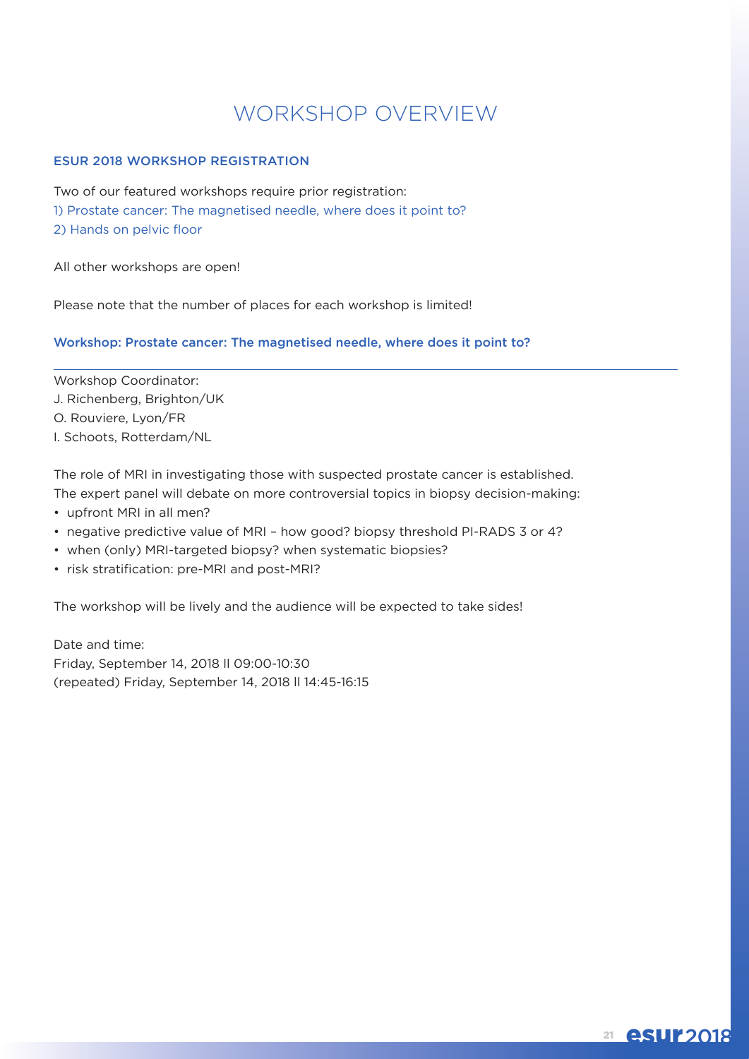## WORKSHOP OVERVIEW

#### ESUR 2018 WORKSHOP REGISTRATION

Two of our featured workshops require prior registration: 1) Prostate cancer: The magnetised needle, where does it point to? 2) Hands on pelvic floor

All other workshops are open!

Please note that the number of places for each workshop is limited!

#### Workshop: Prostate cancer: The magnetised needle, where does it point to?

Workshop Coordinator: J. Richenberg, Brighton/UK O. Rouviere, Lyon/FR I. Schoots, Rotterdam/NL

The role of MRI in investigating those with suspected prostate cancer is established. The expert panel will debate on more controversial topics in biopsy decision-making:

- upfront MRI in all men?
- negative predictive value of MRI how good? biopsy threshold PI-RADS 3 or 4?
- when (only) MRI-targeted biopsy? when systematic biopsies?
- risk stratification: pre-MRI and post-MRI?

The workshop will be lively and the audience will be expected to take sides!

Date and time: Friday, September 14, 2018 ll 09:00-10:30 (repeated) Friday, September 14, 2018 ll 14:45-16:15

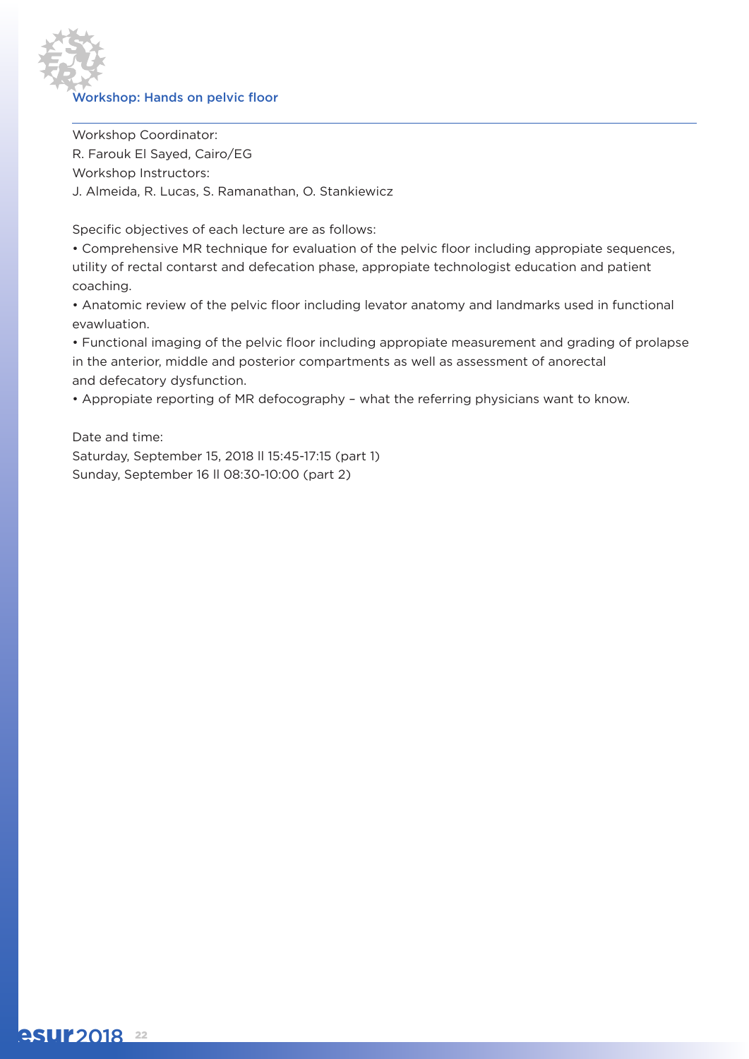

Workshop Coordinator: R. Farouk El Sayed, Cairo/EG Workshop Instructors: J. Almeida, R. Lucas, S. Ramanathan, O. Stankiewicz

Specific objectives of each lecture are as follows:

• Comprehensive MR technique for evaluation of the pelvic floor including appropiate sequences, utility of rectal contarst and defecation phase, appropiate technologist education and patient coaching.

• Anatomic review of the pelvic floor including levator anatomy and landmarks used in functional evawluation.

• Functional imaging of the pelvic floor including appropiate measurement and grading of prolapse in the anterior, middle and posterior compartments as well as assessment of anorectal and defecatory dysfunction.

• Appropiate reporting of MR defocography – what the referring physicians want to know.

Date and time: Saturday, September 15, 2018 ll 15:45-17:15 (part 1) Sunday, September 16 ll 08:30-10:00 (part 2)

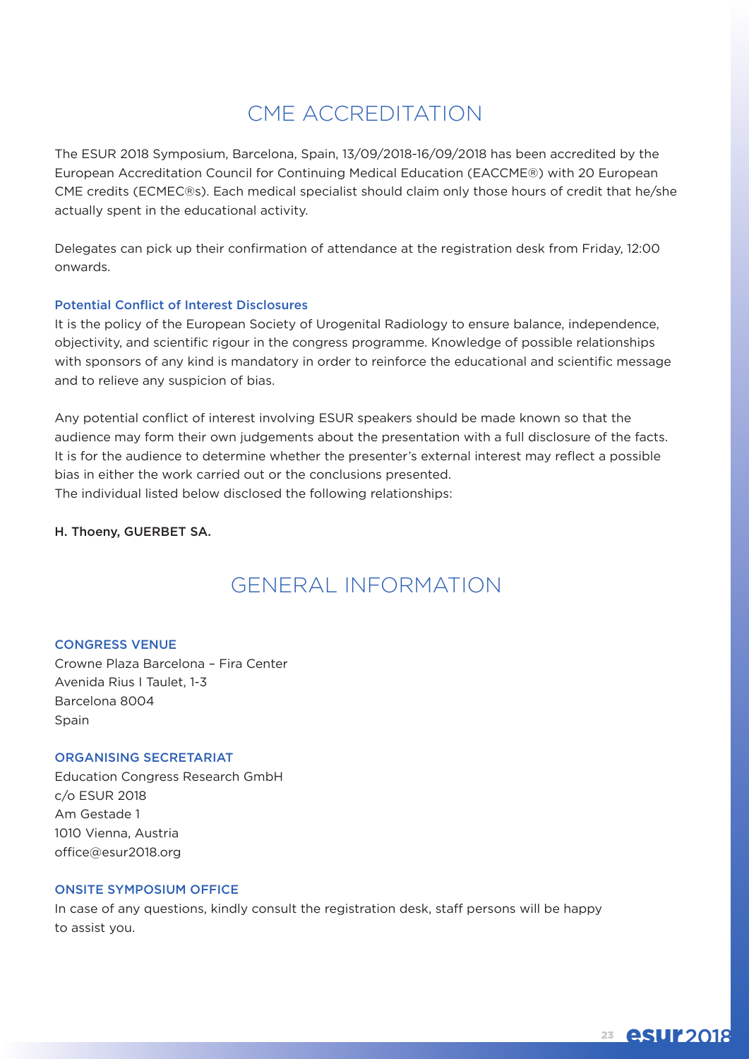## CME ACCREDITATION

The ESUR 2018 Symposium, Barcelona, Spain, 13/09/2018-16/09/2018 has been accredited by the European Accreditation Council for Continuing Medical Education (EACCME®) with 20 European CME credits (ECMEC®s). Each medical specialist should claim only those hours of credit that he/she actually spent in the educational activity.

Delegates can pick up their confirmation of attendance at the registration desk from Friday, 12:00 onwards.

#### Potential Conflict of Interest Disclosures

It is the policy of the European Society of Urogenital Radiology to ensure balance, independence, objectivity, and scientific rigour in the congress programme. Knowledge of possible relationships with sponsors of any kind is mandatory in order to reinforce the educational and scientific message and to relieve any suspicion of bias.

Any potential conflict of interest involving ESUR speakers should be made known so that the audience may form their own judgements about the presentation with a full disclosure of the facts. It is for the audience to determine whether the presenter's external interest may reflect a possible bias in either the work carried out or the conclusions presented. The individual listed below disclosed the following relationships:

#### H. Thoeny, GUERBET SA.

## GENERAL INFORMATION

#### CONGRESS VENUE

Crowne Plaza Barcelona – Fira Center Avenida Rius I Taulet, 1-3 Barcelona 8004 **Spain** 

#### ORGANISING SECRETARIAT

Education Congress Research GmbH c/o ESUR 2018 Am Gestade 1 1010 Vienna, Austria office@esur2018.org

#### ONSITE SYMPOSIUM OFFICE

In case of any questions, kindly consult the registration desk, staff persons will be happy to assist you.

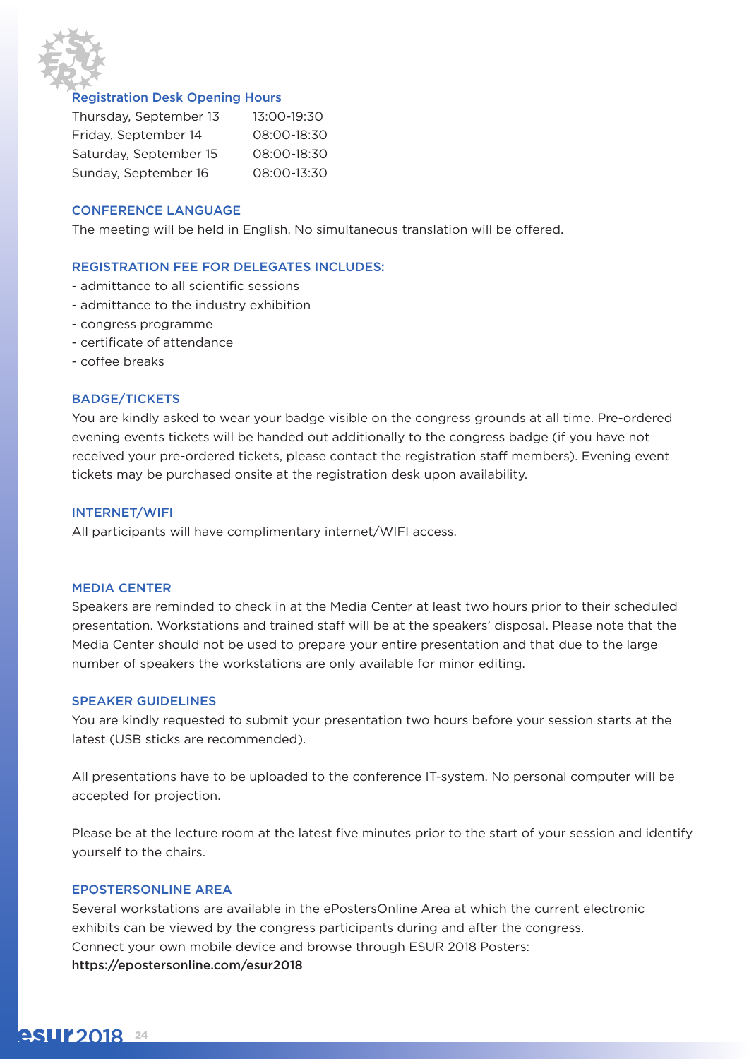

#### Registration Desk Opening Hours

| Thursday, September 13 | 13:00-19:30 |
|------------------------|-------------|
| Friday, September 14   | 08:00-18:30 |
| Saturday, September 15 | 08:00-18:30 |
| Sunday, September 16   | 08:00-13:30 |

#### CONFERENCE LANGUAGE

The meeting will be held in English. No simultaneous translation will be offered.

#### REGISTRATION FEE FOR DELEGATES INCLUDES:

- admittance to all scientific sessions
- admittance to the industry exhibition
- congress programme
- certificate of attendance
- coffee breaks

#### BADGE/TICKETS

You are kindly asked to wear your badge visible on the congress grounds at all time. Pre-ordered evening events tickets will be handed out additionally to the congress badge (if you have not received your pre-ordered tickets, please contact the registration staff members). Evening event tickets may be purchased onsite at the registration desk upon availability.

#### INTERNET/WIFI

All participants will have complimentary internet/WIFI access.

#### MEDIA CENTER

Speakers are reminded to check in at the Media Center at least two hours prior to their scheduled presentation. Workstations and trained staff will be at the speakers' disposal. Please note that the Media Center should not be used to prepare your entire presentation and that due to the large number of speakers the workstations are only available for minor editing.

#### SPEAKER GUIDELINES

You are kindly requested to submit your presentation two hours before your session starts at the latest (USB sticks are recommended).

All presentations have to be uploaded to the conference IT-system. No personal computer will be accepted for projection.

Please be at the lecture room at the latest five minutes prior to the start of your session and identify yourself to the chairs.

#### EPOSTERSONLINE AREA

Several workstations are available in the ePostersOnline Area at which the current electronic exhibits can be viewed by the congress participants during and after the congress. Connect your own mobile device and browse through ESUR 2018 Posters: https://epostersonline.com/esur2018

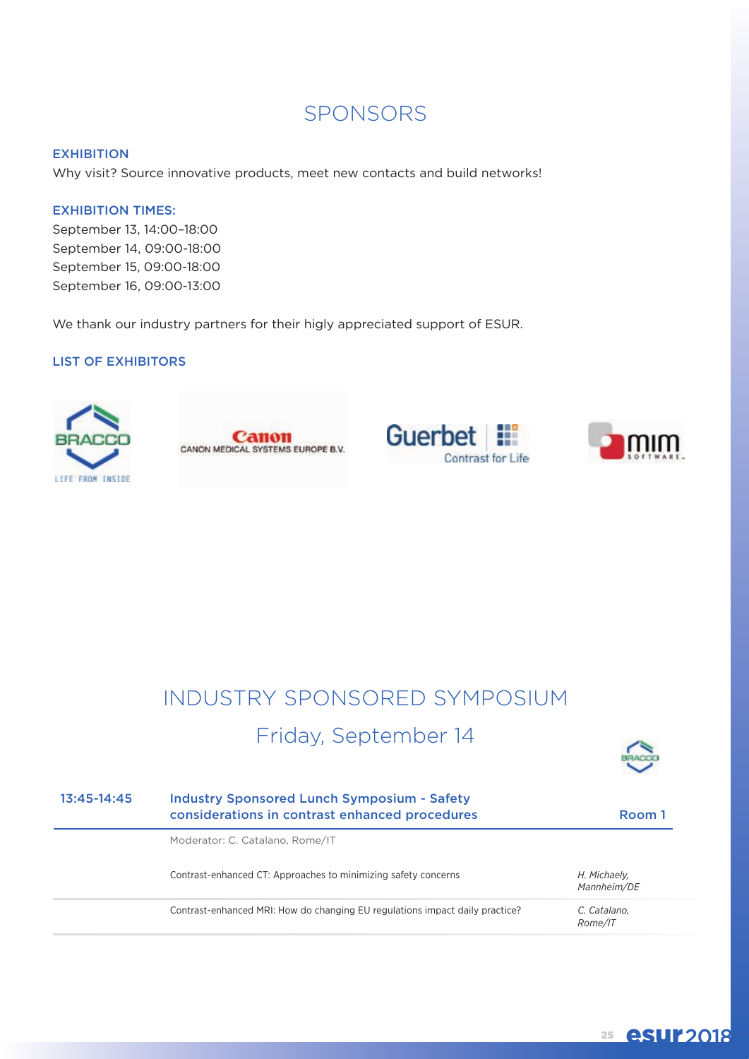## SPONSORS

#### **EXHIBITION**

Why visit? Source innovative products, meet new contacts and build networks!

#### EXHIBITION TIMES:

September 13, 14:00–18:00 September 14, 09:00-18:00 September 15, 09:00-18:00 September 16, 09:00-13:00

We thank our industry partners for their higly appreciated support of ESUR.

#### LIST OF EXHIBITORS









# INDUSTRY SPONSORED SYMPOSIUM

## Friday, September 14



| $13:45-14:45$ | <b>Industry Sponsored Lunch Symposium - Safety</b><br>considerations in contrast enhanced procedures | Room 1                      |
|---------------|------------------------------------------------------------------------------------------------------|-----------------------------|
|               | Moderator: C. Catalano, Rome/IT                                                                      |                             |
|               | Contrast-enhanced CT: Approaches to minimizing safety concerns                                       | H. Michaely,<br>Mannheim/DE |
|               | Contrast-enhanced MRI: How do changing EU regulations impact daily practice?                         | C. Catalano,<br>Rome/IT     |

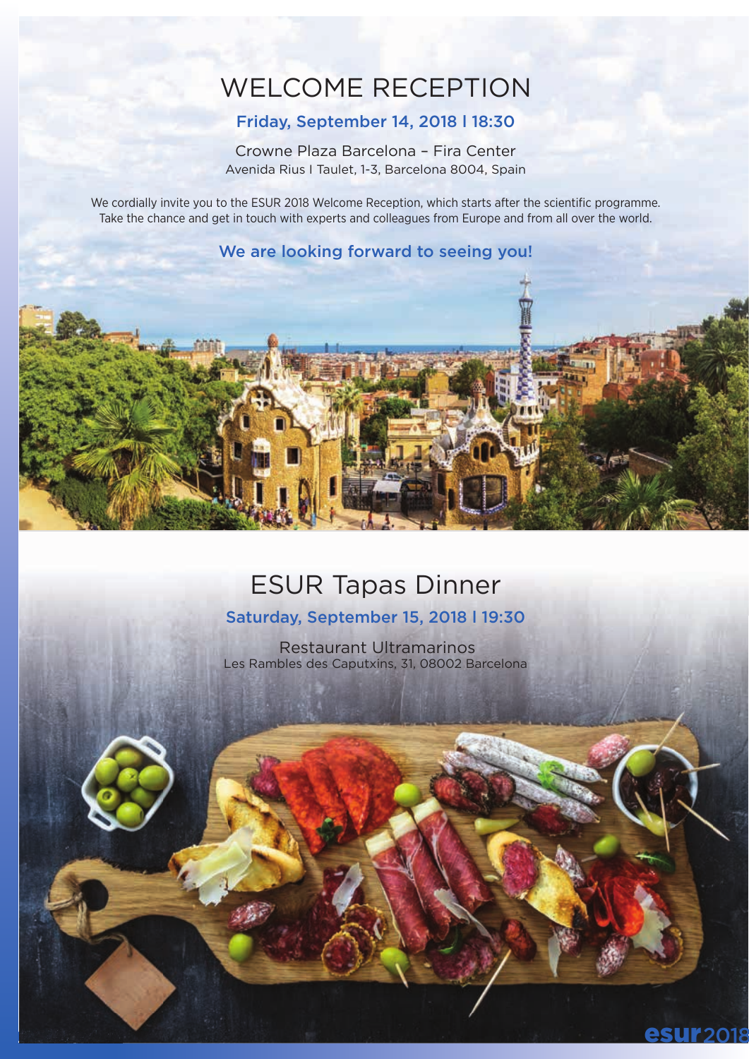# WELCOME RECEPTION

### Friday, September 14, 2018 l 18:30

Crowne Plaza Barcelona – Fira Center Avenida Rius I Taulet, 1-3, Barcelona 8004, Spain

We cordially invite you to the ESUR 2018 Welcome Reception, which starts after the scientific programme. Take the chance and get in touch with experts and colleagues from Europe and from all over the world.

### We are looking forward to seeing you!



## ESUR Tapas Dinner

### Saturday, September 15, 2018 l 19:30

Restaurant Ultramarinos Les Rambles des Caputxins, 31, 08002 Barcelona

**r** 2018

esuran and